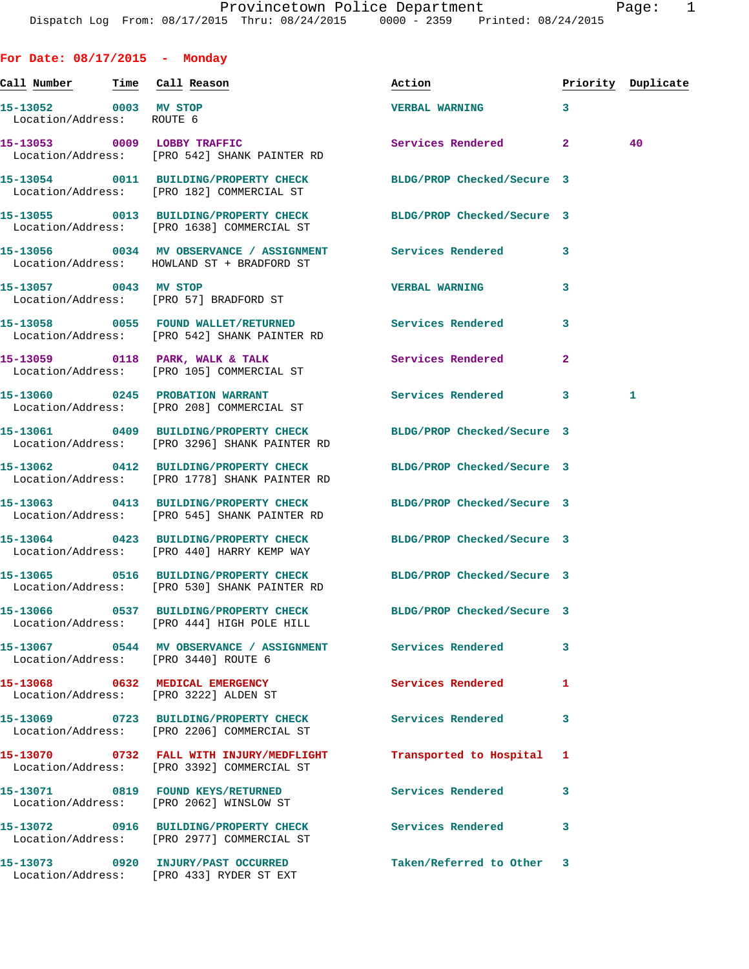**For Date: 08/17/2015 - Monday**

| <u>Call Number — Time Call Reason</u>              |                                                                                        | Action                     | Priority Duplicate |    |
|----------------------------------------------------|----------------------------------------------------------------------------------------|----------------------------|--------------------|----|
| 15-13052 0003 MV STOP<br>Location/Address: ROUTE 6 |                                                                                        | <b>VERBAL WARNING</b>      | 3                  |    |
| 15-13053 0009 LOBBY TRAFFIC                        | Location/Address: [PRO 542] SHANK PAINTER RD                                           | Services Rendered          | $\overline{a}$     | 40 |
|                                                    | 15-13054 0011 BUILDING/PROPERTY CHECK<br>Location/Address: [PRO 182] COMMERCIAL ST     | BLDG/PROP Checked/Secure 3 |                    |    |
|                                                    | 15-13055 0013 BUILDING/PROPERTY CHECK<br>Location/Address: [PRO 1638] COMMERCIAL ST    | BLDG/PROP Checked/Secure 3 |                    |    |
|                                                    | 15-13056 0034 MV OBSERVANCE / ASSIGNMENT<br>Location/Address: HOWLAND ST + BRADFORD ST | Services Rendered          | 3                  |    |
| 15-13057 0043 MV STOP                              | Location/Address: [PRO 57] BRADFORD ST                                                 | <b>VERBAL WARNING</b>      | 3                  |    |
|                                                    | 15-13058 0055 FOUND WALLET/RETURNED<br>Location/Address: [PRO 542] SHANK PAINTER RD    | <b>Services Rendered</b>   | 3                  |    |
|                                                    | 15-13059 0118 PARK, WALK & TALK<br>Location/Address: [PRO 105] COMMERCIAL ST           | Services Rendered          | $\overline{a}$     |    |
|                                                    | 15-13060 0245 PROBATION WARRANT<br>Location/Address: [PRO 208] COMMERCIAL ST           | Services Rendered          | 3                  | 1  |
|                                                    | 15-13061 0409 BUILDING/PROPERTY CHECK<br>Location/Address: [PRO 3296] SHANK PAINTER RD | BLDG/PROP Checked/Secure 3 |                    |    |
|                                                    | 15-13062 0412 BUILDING/PROPERTY CHECK<br>Location/Address: [PRO 1778] SHANK PAINTER RD | BLDG/PROP Checked/Secure 3 |                    |    |
|                                                    | 15-13063 0413 BUILDING/PROPERTY CHECK<br>Location/Address: [PRO 545] SHANK PAINTER RD  | BLDG/PROP Checked/Secure 3 |                    |    |
|                                                    | 15-13064 0423 BUILDING/PROPERTY CHECK<br>Location/Address: [PRO 440] HARRY KEMP WAY    | BLDG/PROP Checked/Secure 3 |                    |    |
|                                                    | 15-13065 0516 BUILDING/PROPERTY CHECK<br>Location/Address: [PRO 530] SHANK PAINTER RD  | BLDG/PROP Checked/Secure 3 |                    |    |
| 15-13066 0537                                      | BUILDING/PROPERTY CHECK<br>Location/Address: [PRO 444] HIGH POLE HILL                  | BLDG/PROP Checked/Secure 3 |                    |    |
|                                                    | Location/Address: [PRO 3440] ROUTE 6                                                   |                            | 3                  |    |
|                                                    | 15-13068 0632 MEDICAL EMERGENCY<br>Location/Address: [PRO 3222] ALDEN ST               | <b>Services Rendered</b>   | 1                  |    |
|                                                    | 15-13069 0723 BUILDING/PROPERTY CHECK<br>Location/Address: [PRO 2206] COMMERCIAL ST    | <b>Services Rendered</b>   | 3                  |    |
|                                                    | 15-13070 0732 FALL WITH INJURY/MEDFLIGHT<br>Location/Address: [PRO 3392] COMMERCIAL ST | Transported to Hospital    | 1                  |    |
|                                                    | 15-13071 0819 FOUND KEYS/RETURNED<br>Location/Address: [PRO 2062] WINSLOW ST           | Services Rendered          | 3                  |    |
|                                                    | 15-13072 0916 BUILDING/PROPERTY CHECK<br>Location/Address: [PRO 2977] COMMERCIAL ST    | <b>Services Rendered</b>   | 3                  |    |
|                                                    | 15-13073 0920 INJURY/PAST OCCURRED<br>Location/Address: [PRO 433] RYDER ST EXT         | Taken/Referred to Other    | -3                 |    |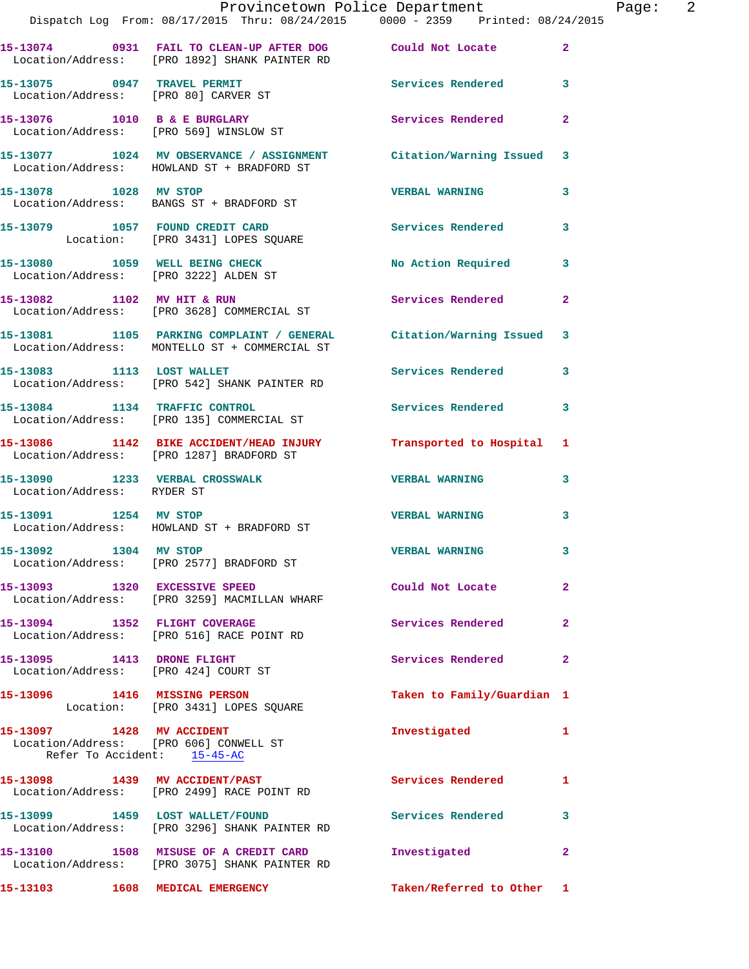|                                 | Provincetown Police Department The Page: 2<br>Dispatch Log From: 08/17/2015 Thru: 08/24/2015   0000 - 2359   Printed: 08/24/2015 |                            |                         |
|---------------------------------|----------------------------------------------------------------------------------------------------------------------------------|----------------------------|-------------------------|
|                                 | 15-13074 0931 FAIL TO CLEAN-UP AFTER DOG Could Not Locate<br>Location/Address: [PRO 1892] SHANK PAINTER RD                       |                            | $\overline{2}$          |
|                                 | 15-13075 0947 TRAVEL PERMIT Services Rendered 3<br>Location/Address: [PRO 80] CARVER ST                                          |                            |                         |
|                                 | 15-13076 1010 B & E BURGLARY<br>Location/Address: [PRO 569] WINSLOW ST                                                           | Services Rendered          | $\mathbf{2}$            |
|                                 | 15-13077 1024 MV OBSERVANCE / ASSIGNMENT Citation/Warning Issued 3<br>Location/Address: HOWLAND ST + BRADFORD ST                 |                            |                         |
|                                 | 15-13078 1028 MV STOP<br>Location/Address: BANGS ST + BRADFORD ST                                                                | <b>VERBAL WARNING</b>      | $\mathbf{3}$            |
|                                 | 15-13079 1057 FOUND CREDIT CARD Services Rendered<br>Location: [PRO 3431] LOPES SQUARE                                           |                            | $\overline{\mathbf{3}}$ |
|                                 | 15-13080 1059 WELL BEING CHECK<br>Location/Address: [PRO 3222] ALDEN ST                                                          | No Action Required 3       |                         |
|                                 | 15-13082 1102 MV HIT & RUN<br>Location/Address: [PRO 3628] COMMERCIAL ST                                                         | <b>Services Rendered</b>   | $\overline{2}$          |
|                                 | 15-13081 1105 PARKING COMPLAINT / GENERAL Citation/Warning Issued 3<br>Location/Address: MONTELLO ST + COMMERCIAL ST             |                            |                         |
|                                 | 15-13083 1113 LOST WALLET<br>Location/Address: [PRO 542] SHANK PAINTER RD                                                        | Services Rendered          | 3                       |
|                                 | 15-13084 1134 TRAFFIC CONTROL<br>Location/Address: [PRO 135] COMMERCIAL ST                                                       | Services Rendered 3        |                         |
|                                 | 15-13086 1142 BIKE ACCIDENT/HEAD INJURY Transported to Hospital 1<br>Location/Address: [PRO 1287] BRADFORD ST                    |                            |                         |
| Location/Address: RYDER ST      | 15-13090 1233 VERBAL CROSSWALK CONFIDENTIAL VERBAL WARNING                                                                       |                            | $\overline{\mathbf{3}}$ |
|                                 | 15-13091 1254 MV STOP<br>Location/Address: HOWLAND ST + BRADFORD ST                                                              | <b>VERBAL WARNING</b>      | $\mathbf{3}$            |
|                                 | 15-13092 1304 MV STOP<br>Location/Address: [PRO 2577] BRADFORD ST                                                                | <b>VERBAL WARNING</b>      |                         |
|                                 | 15-13093 1320 EXCESSIVE SPEED<br>Location/Address: [PRO 3259] MACMILLAN WHARF                                                    | Could Not Locate           | $\overline{2}$          |
|                                 | 15-13094 1352 FLIGHT COVERAGE<br>Location/Address: [PRO 516] RACE POINT RD                                                       | Services Rendered          | $\overline{2}$          |
|                                 | 15-13095 1413 DRONE FLIGHT<br>Location/Address: [PRO 424] COURT ST                                                               | Services Rendered          | $\mathbf{2}$            |
|                                 | 15-13096 1416 MISSING PERSON<br>Location: [PRO 3431] LOPES SQUARE                                                                | Taken to Family/Guardian 1 |                         |
| Refer To Accident: 15-45-AC     | 15-13097 1428 MV ACCIDENT<br>Location/Address: [PRO 606] CONWELL ST                                                              | Investigated               | -1                      |
|                                 | 15-13098 1439 MV ACCIDENT/PAST<br>Location/Address: [PRO 2499] RACE POINT RD                                                     | Services Rendered          | 1                       |
|                                 | 15-13099 1459 LOST WALLET/FOUND<br>Location/Address: [PRO 3296] SHANK PAINTER RD                                                 | Services Rendered          | 3                       |
|                                 | 15-13100 1508 MISUSE OF A CREDIT CARD<br>Location/Address: [PRO 3075] SHANK PAINTER RD                                           | Investigated               | $\mathbf{2}$            |
| 15-13103 1608 MEDICAL EMERGENCY |                                                                                                                                  | Taken/Referred to Other 1  |                         |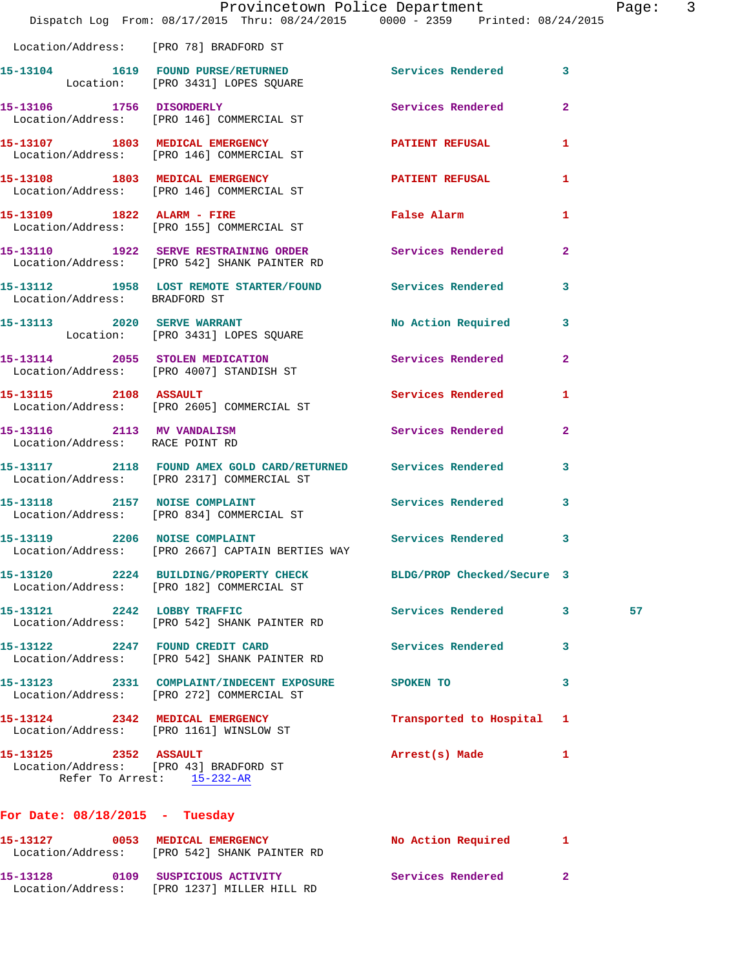|                                                                 | Provincetown Police Department<br>Dispatch Log From: 08/17/2015 Thru: 08/24/2015 0000 - 2359 Printed: 08/24/2015 |                           |              | Page: 3 |  |
|-----------------------------------------------------------------|------------------------------------------------------------------------------------------------------------------|---------------------------|--------------|---------|--|
|                                                                 | Location/Address: [PRO 78] BRADFORD ST                                                                           |                           |              |         |  |
|                                                                 | 15-13104 1619 FOUND PURSE/RETURNED Services Rendered 13<br>Location: [PRO 3431] LOPES SQUARE                     |                           |              |         |  |
|                                                                 | 15-13106 1756 DISORDERLY Services Rendered 2<br>Location/Address: [PRO 146] COMMERCIAL ST                        |                           |              |         |  |
|                                                                 | 15-13107 1803 MEDICAL EMERGENCY<br>Location/Address: [PRO 146] COMMERCIAL ST                                     | PATIENT REFUSAL           | $\mathbf{1}$ |         |  |
|                                                                 | 15-13108 1803 MEDICAL EMERGENCY PATIENT REFUSAL<br>Location/Address: [PRO 146] COMMERCIAL ST                     |                           | $\mathbf{1}$ |         |  |
|                                                                 | 15-13109 1822 ALARM - FIRE<br>Location/Address: [PRO 155] COMMERCIAL ST                                          | False Alarm               | $\mathbf{1}$ |         |  |
|                                                                 | 15-13110 1922 SERVE RESTRAINING ORDER Services Rendered 2<br>Location/Address: [PRO 542] SHANK PAINTER RD        |                           |              |         |  |
| Location/Address: BRADFORD ST                                   | 15-13112 1958 LOST REMOTE STARTER/FOUND Services Rendered 3                                                      |                           |              |         |  |
|                                                                 | 15-13113 2020 SERVE WARRANT<br>Location: [PRO 3431] LOPES SQUARE                                                 | No Action Required 3      |              |         |  |
|                                                                 | 15-13114 2055 STOLEN MEDICATION Services Rendered 2<br>Location/Address: [PRO 4007] STANDISH ST                  |                           |              |         |  |
|                                                                 | 15-13115 2108 ASSAULT<br>Location/Address: [PRO 2605] COMMERCIAL ST                                              | Services Rendered         | $\mathbf{1}$ |         |  |
| 15-13116 2113 MV VANDALISM<br>Location/Address: RACE POINT RD   |                                                                                                                  | Services Rendered 2       |              |         |  |
|                                                                 | 15-13117 2118 FOUND AMEX GOLD CARD/RETURNED Services Rendered<br>Location/Address: [PRO 2317] COMMERCIAL ST      |                           | $\mathbf{3}$ |         |  |
|                                                                 | 15-13118 2157 NOISE COMPLAINT<br>Location/Address: [PRO 834] COMMERCIAL ST                                       | Services Rendered         | $\mathbf{3}$ |         |  |
|                                                                 | 15-13119 2206 NOISE COMPLAINT<br>Location/Address: [PRO 2667] CAPTAIN BERTIES WAY                                | Services Rendered 3       |              |         |  |
|                                                                 | 15-13120 2224 BUILDING/PROPERTY CHECK BLDG/PROP Checked/Secure 3<br>Location/Address: [PRO 182] COMMERCIAL ST    |                           |              |         |  |
|                                                                 | 15-13121 2242 LOBBY TRAFFIC<br>Location/Address: [PRO 542] SHANK PAINTER RD                                      | Services Rendered 3       |              | 57      |  |
|                                                                 | 15-13122 2247 FOUND CREDIT CARD<br>Location/Address: [PRO 542] SHANK PAINTER RD                                  | Services Rendered 3       |              |         |  |
|                                                                 | 15-13123 2331 COMPLAINT/INDECENT EXPOSURE<br>Location/Address: [PRO 272] COMMERCIAL ST                           | SPOKEN TO                 | 3            |         |  |
|                                                                 | 15-13124 2342 MEDICAL EMERGENCY<br>Location/Address: [PRO 1161] WINSLOW ST                                       | Transported to Hospital 1 |              |         |  |
| 15-13125 2352 ASSAULT<br>Location/Address: [PRO 43] BRADFORD ST | Refer To Arrest: 15-232-AR                                                                                       | Arrest(s) Made            | 1            |         |  |
| For Date: $08/18/2015$ - Tuesday                                |                                                                                                                  |                           |              |         |  |
|                                                                 | 15-13127 0053 MEDICAL EMERGENCY<br>Location/Address: [PRO 542] SHANK PAINTER RD                                  | No Action Required 1      |              |         |  |

**15-13128 0109 SUSPICIOUS ACTIVITY Services Rendered 2** 

Location/Address: [PRO 1237] MILLER HILL RD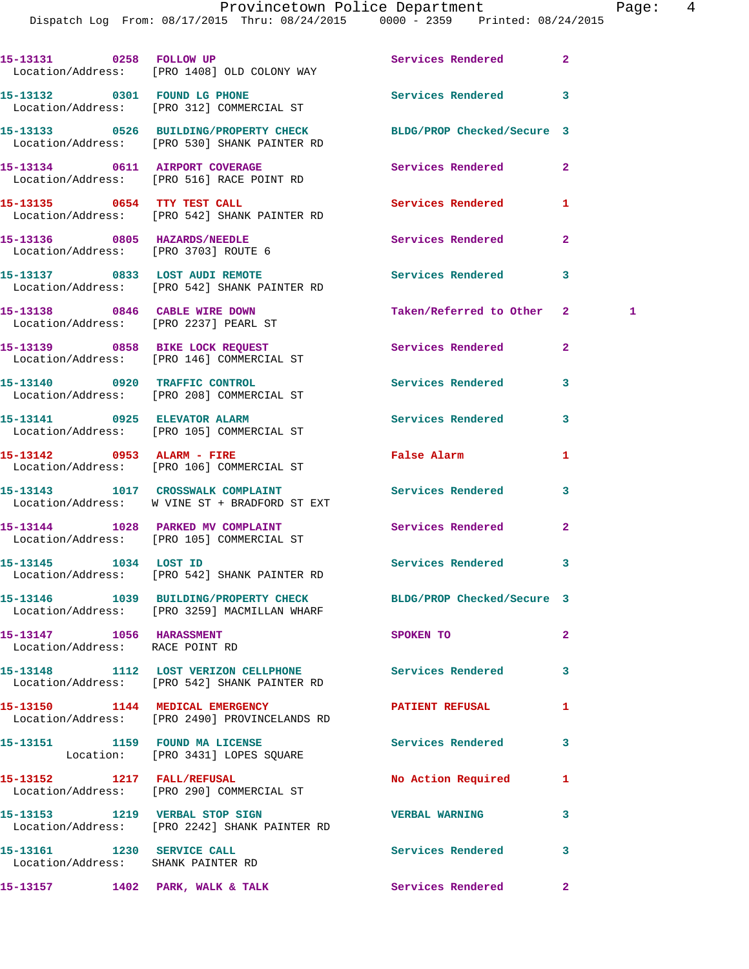Dispatch Log From: 08/17/2015 Thru: 08/24/2015 0000 - 2359 Printed: 08/24/2015

|                                                                      | 15-13131 0258 FOLLOW UP<br>Location/Address: [PRO 1408] OLD COLONY WAY                                           | Services Rendered        | $\overline{2}$   |
|----------------------------------------------------------------------|------------------------------------------------------------------------------------------------------------------|--------------------------|------------------|
|                                                                      | 15-13132 0301 FOUND LG PHONE<br>Location/Address: [PRO 312] COMMERCIAL ST                                        | <b>Services Rendered</b> | 3                |
|                                                                      | 15-13133 0526 BUILDING/PROPERTY CHECK BLDG/PROP Checked/Secure 3<br>Location/Address: [PRO 530] SHANK PAINTER RD |                          |                  |
|                                                                      | 15-13134 0611 AIRPORT COVERAGE<br>Location/Address: [PRO 516] RACE POINT RD                                      | Services Rendered        | $\overline{2}$   |
| 15-13135 0654 TTY TEST CALL                                          | Location/Address: [PRO 542] SHANK PAINTER RD                                                                     | Services Rendered        | 1                |
| 15-13136 0805 HAZARDS/NEEDLE<br>Location/Address: [PRO 3703] ROUTE 6 |                                                                                                                  | Services Rendered        | $\overline{2}$   |
|                                                                      | 15-13137 0833 LOST AUDI REMOTE<br>Location/Address: [PRO 542] SHANK PAINTER RD                                   | Services Rendered        | 3                |
| 15-13138 0846 CABLE WIRE DOWN                                        | Location/Address: [PRO 2237] PEARL ST                                                                            | Taken/Referred to Other  | $2^{\circ}$<br>1 |
|                                                                      | 15-13139 0858 BIKE LOCK REQUEST<br>Location/Address: [PRO 146] COMMERCIAL ST                                     | Services Rendered        | $\overline{a}$   |
|                                                                      | 15-13140 0920 TRAFFIC CONTROL<br>Location/Address: [PRO 208] COMMERCIAL ST                                       | <b>Services Rendered</b> | 3                |
|                                                                      | 15-13141 0925 ELEVATOR ALARM<br>Location/Address: [PRO 105] COMMERCIAL ST                                        | <b>Services Rendered</b> | 3                |
|                                                                      | 15-13142 0953 ALARM - FIRE<br>Location/Address: [PRO 106] COMMERCIAL ST                                          | False Alarm              | 1                |
|                                                                      | 15-13143 1017 CROSSWALK COMPLAINT<br>Location/Address: W VINE ST + BRADFORD ST EXT                               | Services Rendered        | 3                |
|                                                                      | 15-13144 1028 PARKED MV COMPLAINT<br>Location/Address: [PRO 105] COMMERCIAL ST                                   | Services Rendered        | $\overline{2}$   |
|                                                                      | 15-13145    1034    LOST ID<br>Location/Address: [PRO 542] SHANK PAINTER RD                                      | Services Rendered        | 3                |
|                                                                      | 15-13146 1039 BUILDING/PROPERTY CHECK BLDG/PROP Checked/Secure 3<br>Location/Address: [PRO 3259] MACMILLAN WHARF |                          |                  |
| 15-13147 1056 HARASSMENT<br>Location/Address: RACE POINT RD          |                                                                                                                  | SPOKEN TO                | $\overline{a}$   |
|                                                                      | 15-13148 1112 LOST VERIZON CELLPHONE Services Rendered<br>Location/Address: [PRO 542] SHANK PAINTER RD           |                          | 3                |
|                                                                      | 15-13150 1144 MEDICAL EMERGENCY<br>Location/Address: [PRO 2490] PROVINCELANDS RD                                 | <b>PATIENT REFUSAL</b>   | 1                |
|                                                                      | 15-13151 1159 FOUND MA LICENSE<br>Location: [PRO 3431] LOPES SQUARE                                              | Services Rendered        | 3                |
|                                                                      | 15-13152 1217 FALL/REFUSAL<br>Location/Address: [PRO 290] COMMERCIAL ST                                          | No Action Required       | 1                |
|                                                                      | 15-13153 1219 VERBAL STOP SIGN<br>Location/Address: [PRO 2242] SHANK PAINTER RD                                  | <b>VERBAL WARNING</b>    | 3                |
| 15-13161 1230 SERVICE CALL<br>Location/Address: SHANK PAINTER RD     |                                                                                                                  | Services Rendered        | 3                |
|                                                                      | 15-13157 1402 PARK, WALK & TALK                                                                                  | Services Rendered        | $\mathbf{2}$     |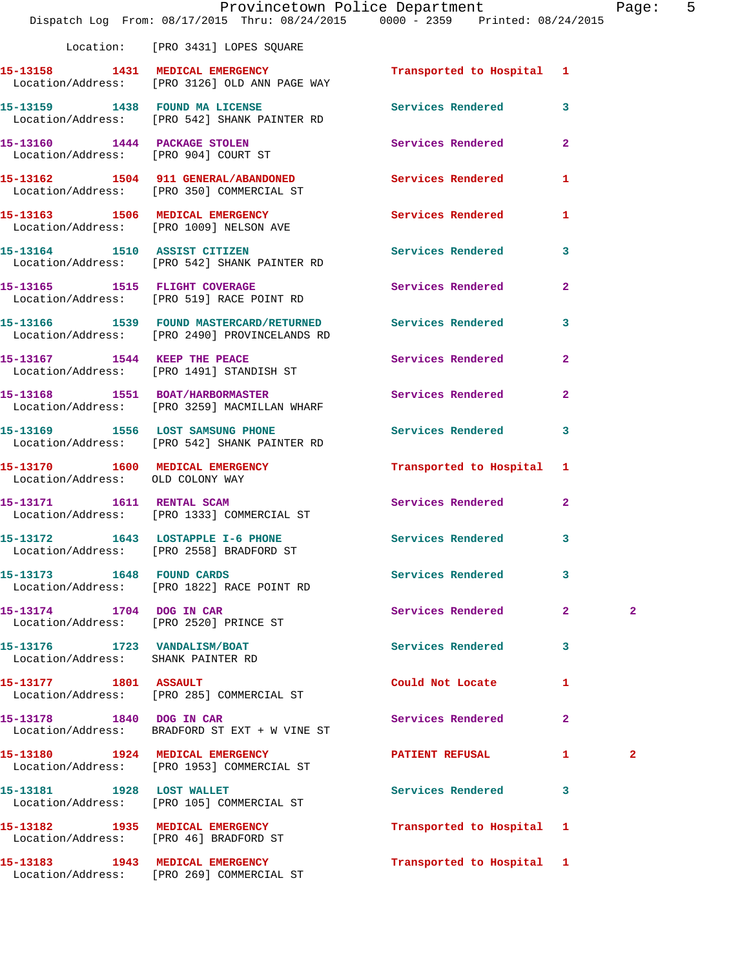|                                                                    | Dispatch Log From: 08/17/2015 Thru: 08/24/2015 0000 - 2359 Printed: 08/24/2015                               | Provincetown Police Department |              | Page: 5        |  |
|--------------------------------------------------------------------|--------------------------------------------------------------------------------------------------------------|--------------------------------|--------------|----------------|--|
|                                                                    | Location: [PRO 3431] LOPES SQUARE                                                                            |                                |              |                |  |
|                                                                    | 15-13158 1431 MEDICAL EMERGENCY<br>Location/Address: [PRO 3126] OLD ANN PAGE WAY                             | Transported to Hospital 1      |              |                |  |
|                                                                    | 15-13159 1438 FOUND MA LICENSE 10 Services Rendered 3<br>Location/Address: [PRO 542] SHANK PAINTER RD        |                                |              |                |  |
|                                                                    | 15-13160 1444 PACKAGE STOLEN<br>Location/Address: [PRO 904] COURT ST                                         | Services Rendered 2            |              |                |  |
|                                                                    | 15-13162 1504 911 GENERAL/ABANDONED Services Rendered<br>Location/Address: [PRO 350] COMMERCIAL ST           |                                | $\mathbf{1}$ |                |  |
|                                                                    | 15-13163 1506 MEDICAL EMERGENCY<br>Location/Address: [PRO 1009] NELSON AVE                                   | Services Rendered 1            |              |                |  |
|                                                                    | 15-13164 1510 ASSIST CITIZEN<br>Location/Address: [PRO 542] SHANK PAINTER RD                                 | Services Rendered 3            |              |                |  |
|                                                                    | 15-13165 1515 FLIGHT COVERAGE<br>Location/Address: [PRO 519] RACE POINT RD                                   | Services Rendered 2            |              |                |  |
|                                                                    | 15-13166 1539 FOUND MASTERCARD/RETURNED Services Rendered 3<br>Location/Address: [PRO 2490] PROVINCELANDS RD |                                |              |                |  |
|                                                                    | 15-13167 1544 KEEP THE PEACE<br>Location/Address: [PRO 1491] STANDISH ST                                     | Services Rendered 2            |              |                |  |
|                                                                    | 15-13168 1551 BOAT/HARBORMASTER<br>Location/Address: [PRO 3259] MACMILLAN WHARF                              | Services Rendered 2            |              |                |  |
|                                                                    | 15-13169 1556 LOST SAMSUNG PHONE 3 Services Rendered 3<br>Location/Address: [PRO 542] SHANK PAINTER RD       |                                |              |                |  |
| Location/Address: OLD COLONY WAY                                   | 15-13170 1600 MEDICAL EMERGENCY                                                                              | Transported to Hospital 1      |              |                |  |
|                                                                    | 15-13171 1611 RENTAL SCAM<br>Location/Address: [PRO 1333] COMMERCIAL ST                                      | Services Rendered 2            |              |                |  |
|                                                                    | 15-13172 1643 LOSTAPPLE I-6 PHONE<br>Location/Address: [PRO 2558] BRADFORD ST                                | Services Rendered              | $\mathbf{3}$ |                |  |
| 15-13173 1648 FOUND CARDS                                          | Location/Address: [PRO 1822] RACE POINT RD                                                                   | Services Rendered              | 3            |                |  |
|                                                                    | 15-13174 1704 DOG IN CAR<br>Location/Address: [PRO 2520] PRINCE ST                                           | Services Rendered 2            |              | $\overline{2}$ |  |
| 15-13176 1723 VANDALISM/BOAT<br>Location/Address: SHANK PAINTER RD |                                                                                                              | Services Rendered 3            |              |                |  |
|                                                                    | 15-13177 1801 ASSAULT<br>Location/Address: [PRO 285] COMMERCIAL ST                                           | Could Not Locate               | $\mathbf{1}$ |                |  |
| 15-13178 1840 DOG IN CAR                                           | Location/Address: BRADFORD ST EXT + W VINE ST                                                                | Services Rendered 2            |              |                |  |
|                                                                    | 15-13180 1924 MEDICAL EMERGENCY<br>Location/Address: [PRO 1953] COMMERCIAL ST                                | <b>PATIENT REFUSAL</b>         | $\mathbf{1}$ | $\mathbf{2}$   |  |
|                                                                    | 15-13181 1928 LOST WALLET<br>Location/Address: [PRO 105] COMMERCIAL ST                                       | Services Rendered 3            |              |                |  |
|                                                                    | 15-13182 1935 MEDICAL EMERGENCY<br>Location/Address: [PRO 46] BRADFORD ST                                    | Transported to Hospital 1      |              |                |  |
|                                                                    | 15-13183 1943 MEDICAL EMERGENCY<br>Location/Address: [PRO 269] COMMERCIAL ST                                 | Transported to Hospital 1      |              |                |  |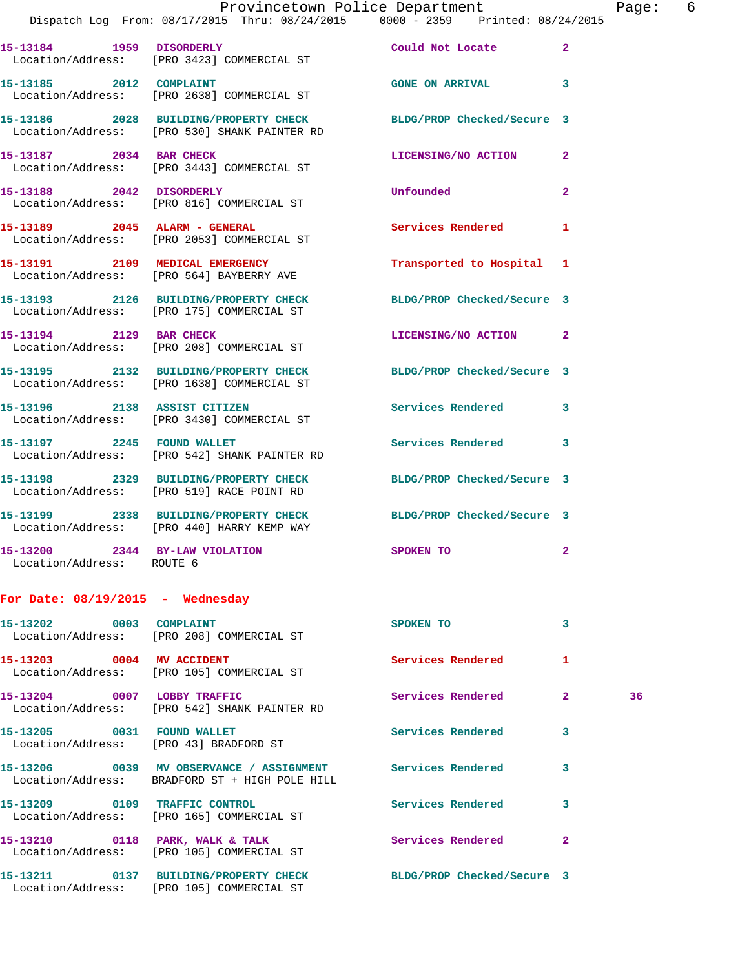|                                                             | Provincetown Police Department<br>Dispatch Log From: 08/17/2015 Thru: 08/24/2015 0000 - 2359 Printed: 08/24/2015 |                           |                | Page |
|-------------------------------------------------------------|------------------------------------------------------------------------------------------------------------------|---------------------------|----------------|------|
|                                                             | 15-13184 1959 DISORDERLY<br>Location/Address: [PRO 3423] COMMERCIAL ST                                           | Could Not Locate 2        |                |      |
|                                                             | 15-13185 2012 COMPLAINT<br>Location/Address: [PRO 2638] COMMERCIAL ST                                            | GONE ON ARRIVAL 3         |                |      |
|                                                             | 15-13186 2028 BUILDING/PROPERTY CHECK BLDG/PROP Checked/Secure 3<br>Location/Address: [PRO 530] SHANK PAINTER RD |                           |                |      |
|                                                             | 15-13187 2034 BAR CHECK<br>Location/Address: [PRO 3443] COMMERCIAL ST                                            | LICENSING/NO ACTION       | $\mathbf{2}$   |      |
|                                                             | 15-13188 2042 DISORDERLY<br>Location/Address: [PRO 816] COMMERCIAL ST                                            | <b>Unfounded</b>          | $\overline{a}$ |      |
|                                                             | 15-13189 2045 ALARM - GENERAL<br>Location/Address: [PRO 2053] COMMERCIAL ST                                      | Services Rendered         | 1              |      |
|                                                             | 15-13191 2109 MEDICAL EMERGENCY<br>Location/Address: [PRO 564] BAYBERRY AVE                                      | Transported to Hospital 1 |                |      |
|                                                             | 15-13193 2126 BUILDING/PROPERTY CHECK BLDG/PROP Checked/Secure 3<br>Location/Address: [PRO 175] COMMERCIAL ST    |                           |                |      |
| 15-13194 2129 BAR CHECK                                     | Location/Address: [PRO 208] COMMERCIAL ST                                                                        | LICENSING/NO ACTION 2     |                |      |
|                                                             | 15-13195 2132 BUILDING/PROPERTY CHECK BLDG/PROP Checked/Secure 3<br>Location/Address: [PRO 1638] COMMERCIAL ST   |                           |                |      |
|                                                             | 15-13196 2138 ASSIST CITIZEN<br>Location/Address: [PRO 3430] COMMERCIAL ST                                       | Services Rendered 3       |                |      |
|                                                             | 15-13197 2245 FOUND WALLET<br>Location/Address: [PRO 542] SHANK PAINTER RD                                       | Services Rendered 3       |                |      |
|                                                             | 15-13198 2329 BUILDING/PROPERTY CHECK BLDG/PROP Checked/Secure 3<br>Location/Address: [PRO 519] RACE POINT RD    |                           |                |      |
|                                                             | 15-13199 2338 BUILDING/PROPERTY CHECK BLDG/PROP Checked/Secure 3<br>Location/Address: [PRO 440] HARRY KEMP WAY   |                           |                |      |
| 15-13200 2344 BY-LAW VIOLATION<br>Location/Address: ROUTE 6 |                                                                                                                  | SPOKEN TO                 | 2              |      |
| For Date: $08/19/2015$ - Wednesday                          |                                                                                                                  |                           |                |      |
| 15-13202 0003 COMPLAINT                                     | Location/Address: [PRO 208] COMMERCIAL ST                                                                        | SPOKEN TO                 | 3              |      |
| 15-13203 0004 MV ACCIDENT                                   | Location/Address: [PRO 105] COMMERCIAL ST                                                                        | Services Rendered         | 1              |      |
| 15-13204 0007 LOBBY TRAFFIC                                 | Location/Address: [PRO 542] SHANK PAINTER RD                                                                     | <b>Services Rendered</b>  | $\mathbf{2}$   | 36   |

Location/Address: [PRO 43] BRADFORD ST

Location/Address: BRADFORD ST + HIGH POLE HILL

Location/Address: [PRO 165] COMMERCIAL ST

Location/Address: [PRO 105] COMMERCIAL ST

Location/Address: [PRO 105] COMMERCIAL ST

**15-13211 0137 BUILDING/PROPERTY CHECK BLDG/PROP Checked/Secure 3** 

**15-13205 0031 FOUND WALLET Services Rendered 3 15-13206 0039 MV OBSERVANCE / ASSIGNMENT Services Rendered 3 15-13209 0109 TRAFFIC CONTROL Services Rendered 3 15-13210 0118 PARK, WALK & TALK Services Rendered 2** 

Page: 6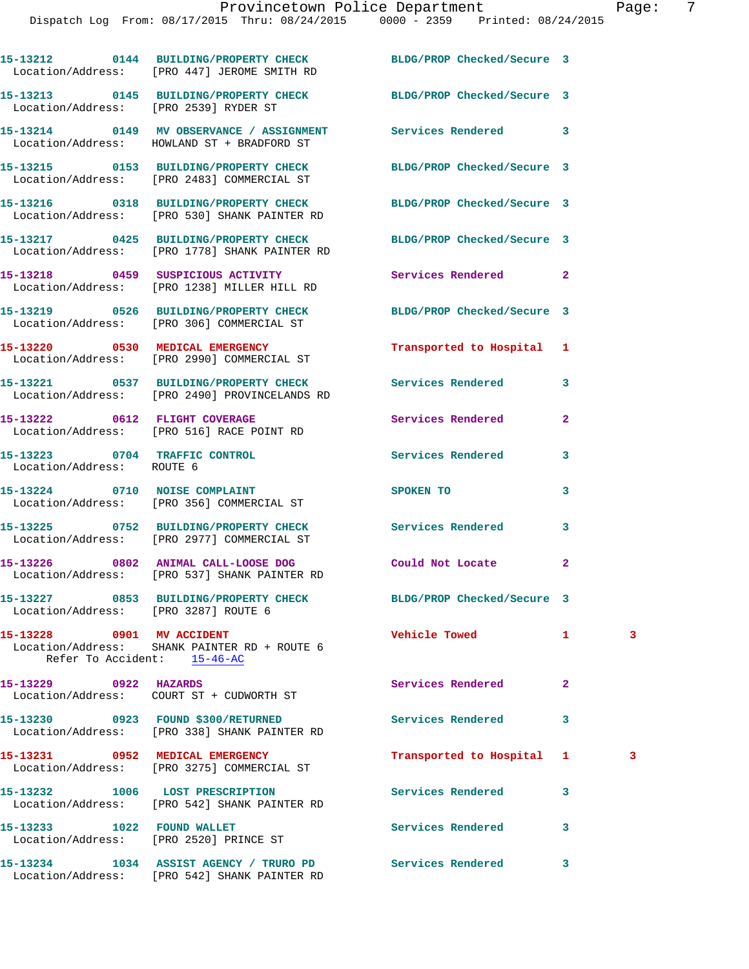|                                                                      | 15-13212 0144 BUILDING/PROPERTY CHECK BLDG/PROP Checked/Secure 3<br>Location/Address: [PRO 447] JEROME SMITH RD   |                            |                |                         |
|----------------------------------------------------------------------|-------------------------------------------------------------------------------------------------------------------|----------------------------|----------------|-------------------------|
| Location/Address: [PRO 2539] RYDER ST                                | 15-13213 0145 BUILDING/PROPERTY CHECK BLDG/PROP Checked/Secure 3                                                  |                            |                |                         |
|                                                                      | 15-13214 0149 MV OBSERVANCE / ASSIGNMENT Services Rendered<br>Location/Address: HOWLAND ST + BRADFORD ST          |                            | 3              |                         |
|                                                                      | 15-13215 0153 BUILDING/PROPERTY CHECK BLDG/PROP Checked/Secure 3<br>Location/Address: [PRO 2483] COMMERCIAL ST    |                            |                |                         |
|                                                                      | 15-13216 0318 BUILDING/PROPERTY CHECK BLDG/PROP Checked/Secure 3<br>Location/Address: [PRO 530] SHANK PAINTER RD  |                            |                |                         |
|                                                                      | 15-13217 0425 BUILDING/PROPERTY CHECK BLDG/PROP Checked/Secure 3<br>Location/Address: [PRO 1778] SHANK PAINTER RD |                            |                |                         |
|                                                                      | 15-13218 0459 SUSPICIOUS ACTIVITY<br>Location/Address: [PRO 1238] MILLER HILL RD                                  | Services Rendered          | $\overline{2}$ |                         |
|                                                                      | 15-13219 0526 BUILDING/PROPERTY CHECK<br>Location/Address: [PRO 306] COMMERCIAL ST                                | BLDG/PROP Checked/Secure 3 |                |                         |
|                                                                      | 15-13220 0530 MEDICAL EMERGENCY<br>Location/Address: [PRO 2990] COMMERCIAL ST                                     | Transported to Hospital    | 1              |                         |
|                                                                      | 15-13221 0537 BUILDING/PROPERTY CHECK<br>Location/Address: [PRO 2490] PROVINCELANDS RD                            | <b>Services Rendered</b>   | 3              |                         |
|                                                                      | 15-13222 0612 FLIGHT COVERAGE<br>Location/Address: [PRO 516] RACE POINT RD                                        | Services Rendered          | $\mathbf{2}$   |                         |
| Location/Address: ROUTE 6                                            | 15-13223 0704 TRAFFIC CONTROL                                                                                     | Services Rendered          | 3              |                         |
|                                                                      | 15-13224 0710 NOISE COMPLAINT<br>Location/Address: [PRO 356] COMMERCIAL ST                                        | SPOKEN TO                  | 3              |                         |
|                                                                      | 15-13225 0752 BUILDING/PROPERTY CHECK Services Rendered<br>Location/Address: [PRO 2977] COMMERCIAL ST             |                            | 3              |                         |
|                                                                      | 15-13226 0802 ANIMAL CALL-LOOSE DOG Could Not Locate<br>Location/Address: [PRO 537] SHANK PAINTER RD              |                            | $\mathbf{2}$   |                         |
| Location/Address: [PRO 3287] ROUTE 6                                 | 15-13227 0853 BUILDING/PROPERTY CHECK                                                                             | BLDG/PROP Checked/Secure 3 |                |                         |
| 15-13228 0901 MV ACCIDENT<br>Refer To Accident: 15-46-AC             | Location/Address: SHANK PAINTER RD + ROUTE 6                                                                      | <b>Vehicle Towed</b>       | $\mathbf{1}$   | $\overline{\mathbf{3}}$ |
| 15-13229 0922 HAZARDS                                                | Location/Address: COURT ST + CUDWORTH ST                                                                          | <b>Services Rendered</b>   | $\mathbf{2}$   |                         |
|                                                                      | Location/Address: [PRO 338] SHANK PAINTER RD                                                                      | Services Rendered          | 3              |                         |
|                                                                      | 15-13231 0952 MEDICAL EMERGENCY<br>Location/Address: [PRO 3275] COMMERCIAL ST                                     | Transported to Hospital    | 1              | -3                      |
|                                                                      | 15-13232 1006 LOST PRESCRIPTION<br>Location/Address: [PRO 542] SHANK PAINTER RD                                   | <b>Services Rendered</b>   | 3              |                         |
| 15-13233 1022 FOUND WALLET<br>Location/Address: [PRO 2520] PRINCE ST |                                                                                                                   | Services Rendered          | 3              |                         |
|                                                                      |                                                                                                                   |                            | 3              |                         |

Location/Address: [PRO 542] SHANK PAINTER RD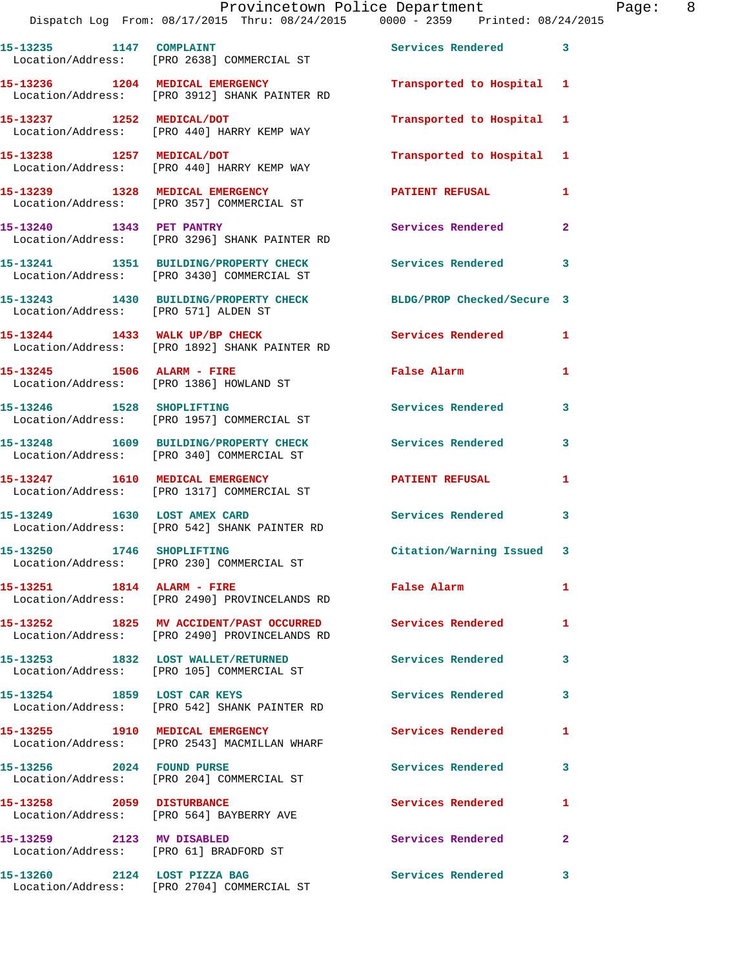|                                      | Provincetown Police Department<br>Dispatch Log From: 08/17/2015 Thru: 08/24/2015 0000 - 2359 Printed: 08/24/2015      |                           |                |
|--------------------------------------|-----------------------------------------------------------------------------------------------------------------------|---------------------------|----------------|
|                                      | 15-13235 1147 COMPLAINT Services Rendered<br>Location/Address: [PRO 2638] COMMERCIAL ST                               |                           | $\mathbf{3}$   |
|                                      | 15-13236 1204 MEDICAL EMERGENCY <b>120 Transported</b> to Hospital 1<br>Location/Address: [PRO 3912] SHANK PAINTER RD |                           |                |
|                                      | 15-13237 1252 MEDICAL/DOT<br>Location/Address: [PRO 440] HARRY KEMP WAY                                               | Transported to Hospital 1 |                |
|                                      | 15-13238 1257 MEDICAL/DOT<br>Location/Address: [PRO 440] HARRY KEMP WAY                                               | Transported to Hospital 1 |                |
|                                      | 15-13239 1328 MEDICAL EMERGENCY<br>Location/Address: [PRO 357] COMMERCIAL ST                                          | <b>PATIENT REFUSAL</b>    | 1              |
|                                      | 15-13240 1343 PET PANTRY<br>Location/Address: [PRO 3296] SHANK PAINTER RD                                             | Services Rendered         | $\overline{2}$ |
|                                      | 15-13241 1351 BUILDING/PROPERTY CHECK Services Rendered<br>Location/Address: [PRO 3430] COMMERCIAL ST                 |                           | 3              |
| Location/Address: [PRO 571] ALDEN ST | 15-13243 1430 BUILDING/PROPERTY CHECK BLDG/PROP Checked/Secure 3                                                      |                           |                |
|                                      | 15-13244 1433 WALK UP/BP CHECK Services Rendered<br>Location/Address: [PRO 1892] SHANK PAINTER RD                     |                           | 1              |
|                                      | 15-13245    1506    ALARM - FIRE<br>Location/Address: [PRO 1386] HOWLAND ST                                           | False Alarm               | 1              |

Location/Address: [PRO 340] COMMERCIAL ST

Location/Address: [PRO 1317] COMMERCIAL ST

Location/Address: [PRO 105] COMMERCIAL ST

**15-13246 1528 SHOPLIFTING Services Rendered 3**  Location/Address: [PRO 1957] COMMERCIAL ST

**15-13248 1609 BUILDING/PROPERTY CHECK Services Rendered 3** 

**15-13247 1610 MEDICAL EMERGENCY PATIENT REFUSAL 1** 

**15-13249 1630 LOST AMEX CARD Services Rendered 3**  Location/Address: [PRO 542] SHANK PAINTER RD

**15-13250 1746 SHOPLIFTING Citation/Warning Issued 3**  Location/Address: [PRO 230] COMMERCIAL ST

**15-13251 1814 ALARM - FIRE False Alarm 1**  Location/Address: [PRO 2490] PROVINCELANDS RD

**15-13252 1825 MV ACCIDENT/PAST OCCURRED Services Rendered 1**  Location/Address: [PRO 2490] PROVINCELANDS RD

**15-13253 1832 LOST WALLET/RETURNED Services Rendered 3** 

**15-13254 1859 LOST CAR KEYS Services Rendered 3**  Location/Address: [PRO 542] SHANK PAINTER RD

**15-13255 1910 MEDICAL EMERGENCY Services Rendered 1**  Location/Address: [PRO 2543] MACMILLAN WHARF

**15-13256 2024 FOUND PURSE Services Rendered 3**  Location/Address: [PRO 204] COMMERCIAL ST

**15-13258 2059 DISTURBANCE Services Rendered 1**  Location/Address: [PRO 564] BAYBERRY AVE

**15-13259 2123 MV DISABLED Services Rendered 2**  Location/Address: [PRO 61] BRADFORD ST

**15-13260 2124 LOST PIZZA BAG Services Rendered 3**  Location/Address: [PRO 2704] COMMERCIAL ST

Page: 8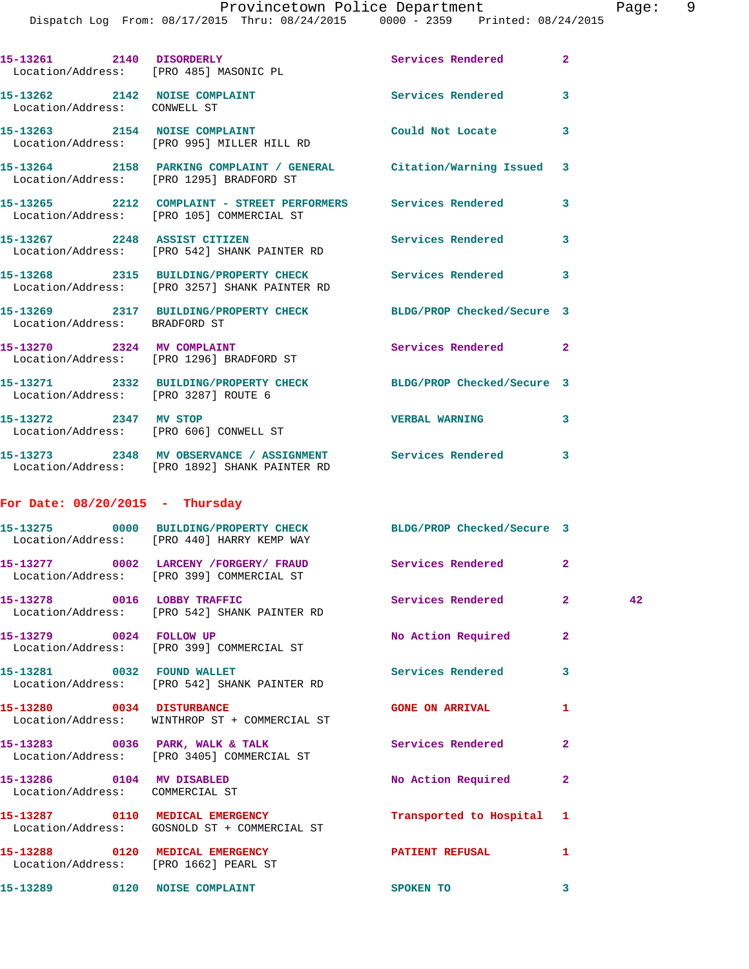Dispatch Log From: 08/17/2015 Thru: 08/24/2015 0000 - 2359 Printed: 08/24/2015

|                                                               | 15-13261 2140 DISORDERLY<br>Location/Address: [PRO 485] MASONIC PL                                             | Services Rendered         | $\mathbf{2}$ |    |
|---------------------------------------------------------------|----------------------------------------------------------------------------------------------------------------|---------------------------|--------------|----|
| 15-13262 2142 NOISE COMPLAINT<br>Location/Address: CONWELL ST |                                                                                                                | Services Rendered         | 3            |    |
|                                                               | 15-13263 2154 NOISE COMPLAINT<br>Location/Address: [PRO 995] MILLER HILL RD                                    | Could Not Locate          | 3            |    |
|                                                               | 15-13264 2158 PARKING COMPLAINT / GENERAL Citation/Warning Issued<br>Location/Address: [PRO 1295] BRADFORD ST  |                           | 3            |    |
|                                                               | 15-13265 2212 COMPLAINT - STREET PERFORMERS Services Rendered 3<br>Location/Address: [PRO 105] COMMERCIAL ST   |                           |              |    |
|                                                               | 15-13267 2248 ASSIST CITIZEN<br>Location/Address: [PRO 542] SHANK PAINTER RD                                   | <b>Services Rendered</b>  | 3            |    |
|                                                               | 15-13268 2315 BUILDING/PROPERTY CHECK Services Rendered 3<br>Location/Address: [PRO 3257] SHANK PAINTER RD     |                           |              |    |
| Location/Address: BRADFORD ST                                 | 15-13269 2317 BUILDING/PROPERTY CHECK BLDG/PROP Checked/Secure 3                                               |                           |              |    |
|                                                               | 15-13270 2324 MV COMPLAINT<br>Location/Address: [PRO 1296] BRADFORD ST                                         | Services Rendered 2       |              |    |
|                                                               | 15-13271 2332 BUILDING/PROPERTY CHECK BLDG/PROP Checked/Secure 3<br>Location/Address: [PRO 3287] ROUTE 6       |                           |              |    |
| 15-13272 2347 MV STOP                                         | Location/Address: [PRO 606] CONWELL ST                                                                         | <b>VERBAL WARNING</b>     | 3            |    |
|                                                               | 15-13273 2348 MV OBSERVANCE / ASSIGNMENT Services Rendered 3<br>Location/Address: [PRO 1892] SHANK PAINTER RD  |                           |              |    |
| For Date: $08/20/2015$ - Thursday                             |                                                                                                                |                           |              |    |
|                                                               | 15-13275 0000 BUILDING/PROPERTY CHECK BLDG/PROP Checked/Secure 3<br>Location/Address: [PRO 440] HARRY KEMP WAY |                           |              |    |
|                                                               | 15-13277 0002 LARCENY /FORGERY/ FRAUD Services Rendered<br>Location/Address: [PRO 399] COMMERCIAL ST           |                           | $\mathbf{2}$ |    |
|                                                               | 15-13278 0016 LOBBY TRAFFIC<br>Location/Address: [PRO 542] SHANK PAINTER RD                                    | Services Rendered         | $\mathbf{2}$ | 42 |
| 15-13279 0024 FOLLOW UP                                       | Location/Address: [PRO 399] COMMERCIAL ST                                                                      | No Action Required        | $\mathbf{2}$ |    |
|                                                               | 15-13281 0032 FOUND WALLET<br>Location/Address: [PRO 542] SHANK PAINTER RD                                     | Services Rendered         | 3            |    |
| 15-13280 0034 DISTURBANCE                                     | Location/Address: WINTHROP ST + COMMERCIAL ST                                                                  | <b>GONE ON ARRIVAL</b>    | 1            |    |
|                                                               | 15-13283 0036 PARK, WALK & TALK<br>Location/Address: [PRO 3405] COMMERCIAL ST                                  | Services Rendered         | $\mathbf{2}$ |    |
| 15-13286 0104 MV DISABLED<br>Location/Address: COMMERCIAL ST  |                                                                                                                | No Action Required        | $\mathbf{2}$ |    |
|                                                               | 15-13287 0110 MEDICAL EMERGENCY<br>Location/Address: GOSNOLD ST + COMMERCIAL ST                                | Transported to Hospital 1 |              |    |
|                                                               | 15-13288 0120 MEDICAL EMERGENCY<br>Location/Address: [PRO 1662] PEARL ST                                       | <b>PATIENT REFUSAL</b>    | 1            |    |
|                                                               | 15-13289 0120 NOISE COMPLAINT                                                                                  | SPOKEN TO                 | 3            |    |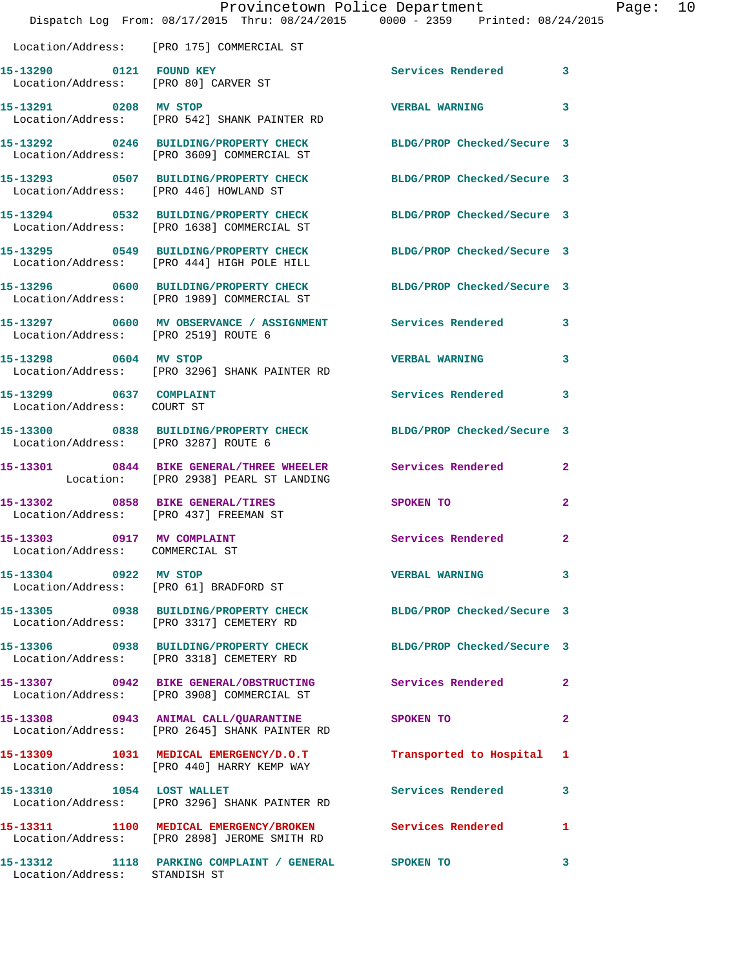|                                                               | Dispatch Log From: 08/17/2015 Thru: 08/24/2015 0000 - 2359 Printed: 08/24/2015                                 | Provincetown Police Department | Page:        | 10 |
|---------------------------------------------------------------|----------------------------------------------------------------------------------------------------------------|--------------------------------|--------------|----|
|                                                               | Location/Address: [PRO 175] COMMERCIAL ST                                                                      |                                |              |    |
| 15-13290 0121 FOUND KEY                                       | Location/Address: [PRO 80] CARVER ST                                                                           | Services Rendered 3            |              |    |
|                                                               | 15-13291 0208 MV STOP<br>Location/Address: [PRO 542] SHANK PAINTER RD                                          | <b>VERBAL WARNING</b>          | 3            |    |
|                                                               | 15-13292 0246 BUILDING/PROPERTY CHECK BLDG/PROP Checked/Secure 3<br>Location/Address: [PRO 3609] COMMERCIAL ST |                                |              |    |
|                                                               | 15-13293 0507 BUILDING/PROPERTY CHECK BLDG/PROP Checked/Secure 3<br>Location/Address: [PRO 446] HOWLAND ST     |                                |              |    |
|                                                               | 15-13294 0532 BUILDING/PROPERTY CHECK BLDG/PROP Checked/Secure 3<br>Location/Address: [PRO 1638] COMMERCIAL ST |                                |              |    |
|                                                               | 15-13295 0549 BUILDING/PROPERTY CHECK BLDG/PROP Checked/Secure 3<br>Location/Address: [PRO 444] HIGH POLE HILL |                                |              |    |
|                                                               | 15-13296 0600 BUILDING/PROPERTY CHECK BLDG/PROP Checked/Secure 3<br>Location/Address: [PRO 1989] COMMERCIAL ST |                                |              |    |
|                                                               | 15-13297 0600 MV OBSERVANCE / ASSIGNMENT Services Rendered 3<br>Location/Address: [PRO 2519] ROUTE 6           |                                |              |    |
| 15-13298 0604 MV STOP                                         | Location/Address: [PRO 3296] SHANK PAINTER RD                                                                  | <b>VERBAL WARNING</b>          | 3            |    |
| 15-13299 0637 COMPLAINT<br>Location/Address: COURT ST         |                                                                                                                | Services Rendered              | 3            |    |
| Location/Address: [PRO 3287] ROUTE 6                          | 15-13300 0838 BUILDING/PROPERTY CHECK BLDG/PROP Checked/Secure 3                                               |                                |              |    |
|                                                               | 15-13301 0844 BIKE GENERAL/THREE WHEELER Services Rendered 2<br>Location: [PRO 2938] PEARL ST LANDING          |                                |              |    |
|                                                               | 15-13302 0858 BIKE GENERAL/TIRES<br>Location/Address: [PRO 437] FREEMAN ST                                     | SPOKEN TO                      | $\mathbf{2}$ |    |
| 15-13303 0917 MV COMPLAINT<br>Location/Address: COMMERCIAL ST |                                                                                                                | <b>Services Rendered</b> 2     |              |    |
| 15-13304 0922 MV STOP                                         | Location/Address: [PRO 61] BRADFORD ST                                                                         | <b>VERBAL WARNING 3</b>        |              |    |
|                                                               | 15-13305 0938 BUILDING/PROPERTY CHECK BLDG/PROP Checked/Secure 3<br>Location/Address: [PRO 3317] CEMETERY RD   |                                |              |    |
|                                                               | 15-13306 0938 BUILDING/PROPERTY CHECK BLDG/PROP Checked/Secure 3<br>Location/Address: [PRO 3318] CEMETERY RD   |                                |              |    |
|                                                               | 15-13307 0942 BIKE GENERAL/OBSTRUCTING Services Rendered 2<br>Location/Address: [PRO 3908] COMMERCIAL ST       |                                |              |    |
|                                                               | 15-13308 0943 ANIMAL CALL/QUARANTINE SPOKEN TO<br>Location/Address: [PRO 2645] SHANK PAINTER RD                |                                | $\mathbf{2}$ |    |
|                                                               | 15-13309 1031 MEDICAL EMERGENCY/D.O.T<br>Location/Address: [PRO 440] HARRY KEMP WAY                            | Transported to Hospital 1      |              |    |
| 15-13310 1054 LOST WALLET                                     | Location/Address: [PRO 3296] SHANK PAINTER RD                                                                  | Services Rendered              | 3            |    |
|                                                               | 15-13311 1100 MEDICAL EMERGENCY/BROKEN Services Rendered 1<br>Location/Address: [PRO 2898] JEROME SMITH RD     |                                |              |    |
| Location/Address: STANDISH ST                                 | 15-13312 1118 PARKING COMPLAINT / GENERAL SPOKEN TO                                                            |                                | 3            |    |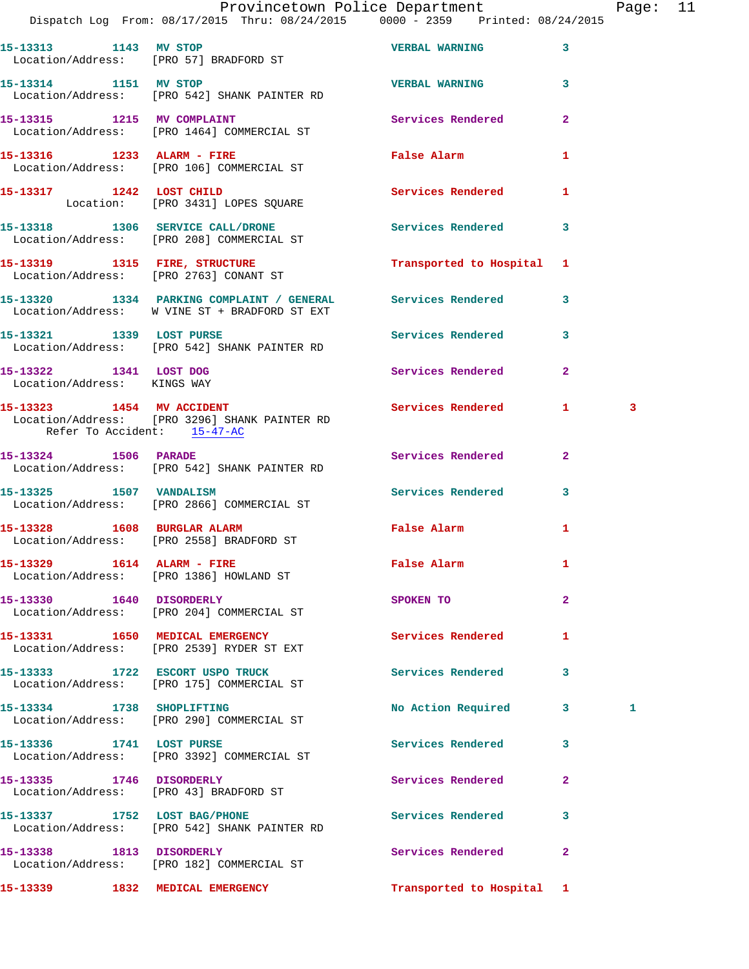|                             | Provincetown Police Department<br>Dispatch Log From: 08/17/2015 Thru: 08/24/2015 0000 - 2359 Printed: 08/24/2015                              |                           |              | Page: 11 |  |
|-----------------------------|-----------------------------------------------------------------------------------------------------------------------------------------------|---------------------------|--------------|----------|--|
| 15-13313 1143 MV STOP       | Location/Address: [PRO 57] BRADFORD ST                                                                                                        | <b>VERBAL WARNING</b> 3   |              |          |  |
|                             | 15-13314 1151 MV STOP 15 VERBAL WARNING<br>Location/Address: [PRO 542] SHANK PAINTER RD                                                       |                           |              |          |  |
|                             | 15-13315 1215 MV COMPLAINT<br>Location/Address: [PRO 1464] COMMERCIAL ST                                                                      | Services Rendered 2       |              |          |  |
|                             | 15-13316 1233 ALARM - FIRE False Alarm<br>Location/Address: [PRO 106] COMMERCIAL ST                                                           |                           | $\mathbf{1}$ |          |  |
|                             | 15-13317 1242 LOST CHILD<br>Location: [PRO 3431] LOPES SQUARE                                                                                 | Services Rendered 1       |              |          |  |
|                             | 15-13318 1306 SERVICE CALL/DRONE 15 Services Rendered 3<br>Location/Address: [PRO 208] COMMERCIAL ST                                          |                           |              |          |  |
|                             | 15-13319 1315 FIRE, STRUCTURE<br>Location/Address: [PRO 2763] CONANT ST                                                                       | Transported to Hospital 1 |              |          |  |
|                             | 15-13320 1334 PARKING COMPLAINT / GENERAL Services Rendered 3<br>Location/Address: W VINE ST + BRADFORD ST EXT                                |                           |              |          |  |
| 15-13321 1339 LOST PURSE    | Location/Address: [PRO 542] SHANK PAINTER RD                                                                                                  | Services Rendered 3       |              |          |  |
| Location/Address: KINGS WAY | 15-13322 1341 LOST DOG                                                                                                                        | Services Rendered         | $\mathbf{2}$ |          |  |
|                             | 15-13323 1454 MV ACCIDENT 1 2000 Services Rendered 1<br>Location/Address: [PRO 3296] SHANK PAINTER RD<br>Refer To Accident: $15-47-\text{AC}$ |                           |              | 3        |  |
|                             | 15-13324 1506 PARADE<br>Location/Address: [PRO 542] SHANK PAINTER RD                                                                          | Services Rendered 2       |              |          |  |
|                             | 15-13325 1507 VANDALISM<br>Location/Address: [PRO 2866] COMMERCIAL ST                                                                         | Services Rendered 3       |              |          |  |
|                             | 15-13328 1608 BURGLAR ALARM<br>Location/Address: [PRO 2558] BRADFORD ST                                                                       | False Alarm               | $\mathbf{1}$ |          |  |
|                             | 15-13329    1614    ALARM - FIRE<br>Location/Address: [PRO 1386] HOWLAND ST                                                                   | False Alarm               | 1            |          |  |
|                             | 15-13330 1640 DISORDERLY<br>Location/Address: [PRO 204] COMMERCIAL ST                                                                         | SPOKEN TO                 | $\mathbf{2}$ |          |  |
|                             | 15-13331 1650 MEDICAL EMERGENCY<br>Location/Address: [PRO 2539] RYDER ST EXT                                                                  | Services Rendered         | 1            |          |  |
|                             | 15-13333 1722 ESCORT USPO TRUCK<br>Location/Address: [PRO 175] COMMERCIAL ST                                                                  | Services Rendered         | 3            |          |  |
| 15-13334 1738 SHOPLIFTING   | Location/Address: [PRO 290] COMMERCIAL ST                                                                                                     | No Action Required 3      |              | 1        |  |
|                             | 15-13336 1741 LOST PURSE<br>Location/Address: [PRO 3392] COMMERCIAL ST                                                                        | Services Rendered         | 3            |          |  |
| 15-13335 1746 DISORDERLY    | Location/Address: [PRO 43] BRADFORD ST                                                                                                        | Services Rendered         | $\mathbf{2}$ |          |  |
|                             | 15-13337 1752 LOST BAG/PHONE<br>Location/Address: [PRO 542] SHANK PAINTER RD                                                                  | Services Rendered         | 3            |          |  |
| 15-13338 1813 DISORDERLY    | Location/Address: [PRO 182] COMMERCIAL ST                                                                                                     | Services Rendered         | $\mathbf{2}$ |          |  |
|                             |                                                                                                                                               |                           |              |          |  |

**15-13339 1832 MEDICAL EMERGENCY Transported to Hospital 1**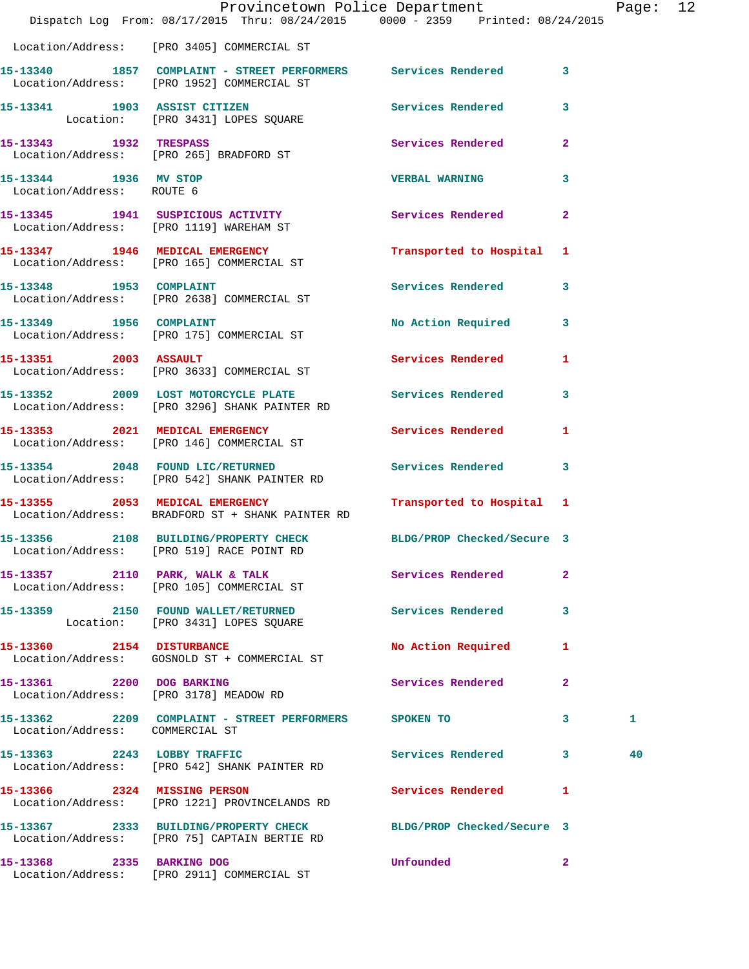|                                                    | Provincetown Police Department                                                                                |                                                                                                                                                                                                                                     |                         | Page: 12 |  |
|----------------------------------------------------|---------------------------------------------------------------------------------------------------------------|-------------------------------------------------------------------------------------------------------------------------------------------------------------------------------------------------------------------------------------|-------------------------|----------|--|
|                                                    | Dispatch Log From: 08/17/2015 Thru: 08/24/2015 0000 - 2359 Printed: 08/24/2015                                |                                                                                                                                                                                                                                     |                         |          |  |
|                                                    | Location/Address: [PRO 3405] COMMERCIAL ST                                                                    |                                                                                                                                                                                                                                     |                         |          |  |
|                                                    | 15-13340 1857 COMPLAINT - STREET PERFORMERS Services Rendered 3<br>Location/Address: [PRO 1952] COMMERCIAL ST |                                                                                                                                                                                                                                     |                         |          |  |
|                                                    | 15-13341 1903 ASSIST CITIZEN 5ervices Rendered 3<br>Location: [PRO 3431] LOPES SQUARE                         |                                                                                                                                                                                                                                     |                         |          |  |
|                                                    | 15-13343 1932 TRESPASS<br>Location/Address: [PRO 265] BRADFORD ST                                             | Services Rendered 2                                                                                                                                                                                                                 |                         |          |  |
| 15-13344 1936 MV STOP<br>Location/Address: ROUTE 6 |                                                                                                               | VERBAL WARNING 3                                                                                                                                                                                                                    |                         |          |  |
|                                                    | 15-13345 1941 SUSPICIOUS ACTIVITY<br>Location/Address: [PRO 1119] WAREHAM ST                                  | Services Rendered 2                                                                                                                                                                                                                 |                         |          |  |
|                                                    | 15-13347 1946 MEDICAL EMERGENCY<br>Location/Address: [PRO 165] COMMERCIAL ST                                  | Transported to Hospital 1                                                                                                                                                                                                           |                         |          |  |
|                                                    | 15-13348 1953 COMPLAINT<br>Location/Address: [PRO 2638] COMMERCIAL ST                                         | Services Rendered 3                                                                                                                                                                                                                 |                         |          |  |
|                                                    | 15-13349 1956 COMPLAINT<br>Location/Address: [PRO 175] COMMERCIAL ST                                          | No Action Required 3                                                                                                                                                                                                                |                         |          |  |
|                                                    | 15-13351 2003 ASSAULT<br>Location/Address: [PRO 3633] COMMERCIAL ST                                           | Services Rendered 1                                                                                                                                                                                                                 |                         |          |  |
|                                                    | 15-13352 2009 LOST MOTORCYCLE PLATE 3 Services Rendered 3<br>Location/Address: [PRO 3296] SHANK PAINTER RD    |                                                                                                                                                                                                                                     |                         |          |  |
|                                                    | 15-13353 2021 MEDICAL EMERGENCY<br>Location/Address: [PRO 146] COMMERCIAL ST                                  | Services Rendered 1                                                                                                                                                                                                                 |                         |          |  |
|                                                    | 15-13354 2048 FOUND LIC/RETURNED<br>Location/Address: [PRO 542] SHANK PAINTER RD                              | Services Rendered 3                                                                                                                                                                                                                 |                         |          |  |
|                                                    | 15-13355 2053 MEDICAL EMERGENCY<br>Location/Address: BRADFORD ST + SHANK PAINTER RD                           | Transported to Hospital 1                                                                                                                                                                                                           |                         |          |  |
|                                                    | 15-13356 2108 BUILDING/PROPERTY CHECK<br>Location/Address: [PRO 519] RACE POINT RD                            | BLDG/PROP Checked/Secure 3                                                                                                                                                                                                          |                         |          |  |
|                                                    | 15-13357 2110 PARK, WALK & TALK<br>Location/Address: [PRO 105] COMMERCIAL ST                                  | Services Rendered                                                                                                                                                                                                                   | $\mathbf{2}$            |          |  |
|                                                    | 15-13359 2150 FOUND WALLET/RETURNED<br>Location: [PRO 3431] LOPES SQUARE                                      | <b>Services Rendered</b>                                                                                                                                                                                                            | 3                       |          |  |
|                                                    | 15-13360 2154 DISTURBANCE<br>Location/Address: GOSNOLD ST + COMMERCIAL ST                                     | No Action Required                                                                                                                                                                                                                  | $\mathbf{1}$            |          |  |
|                                                    | 15-13361 2200 DOG BARKING<br>Location/Address: [PRO 3178] MEADOW RD                                           | Services Rendered                                                                                                                                                                                                                   | $\mathbf{2}$            |          |  |
| Location/Address: COMMERCIAL ST                    | 15-13362 2209 COMPLAINT - STREET PERFORMERS SPOKEN TO                                                         |                                                                                                                                                                                                                                     | $\overline{\mathbf{3}}$ | 1        |  |
|                                                    | 15-13363 2243 LOBBY TRAFFIC<br>Location/Address: [PRO 542] SHANK PAINTER RD                                   | Services Rendered 3                                                                                                                                                                                                                 |                         | 40       |  |
|                                                    | 15-13366 2324 MISSING PERSON<br>Location/Address: [PRO 1221] PROVINCELANDS RD                                 | Services Rendered 1                                                                                                                                                                                                                 |                         |          |  |
|                                                    | 15-13367 2333 BUILDING/PROPERTY CHECK<br>Location/Address: [PRO 75] CAPTAIN BERTIE RD                         | BLDG/PROP Checked/Secure 3                                                                                                                                                                                                          |                         |          |  |
| 15-13368 2335 BARKING DOG                          | Location/Address: [PRO 2911] COMMERCIAL ST                                                                    | <b>Unfounded</b> and the control of the control of the control of the control of the control of the control of the control of the control of the control of the control of the control of the control of the control of the control | $\mathbf{2}$            |          |  |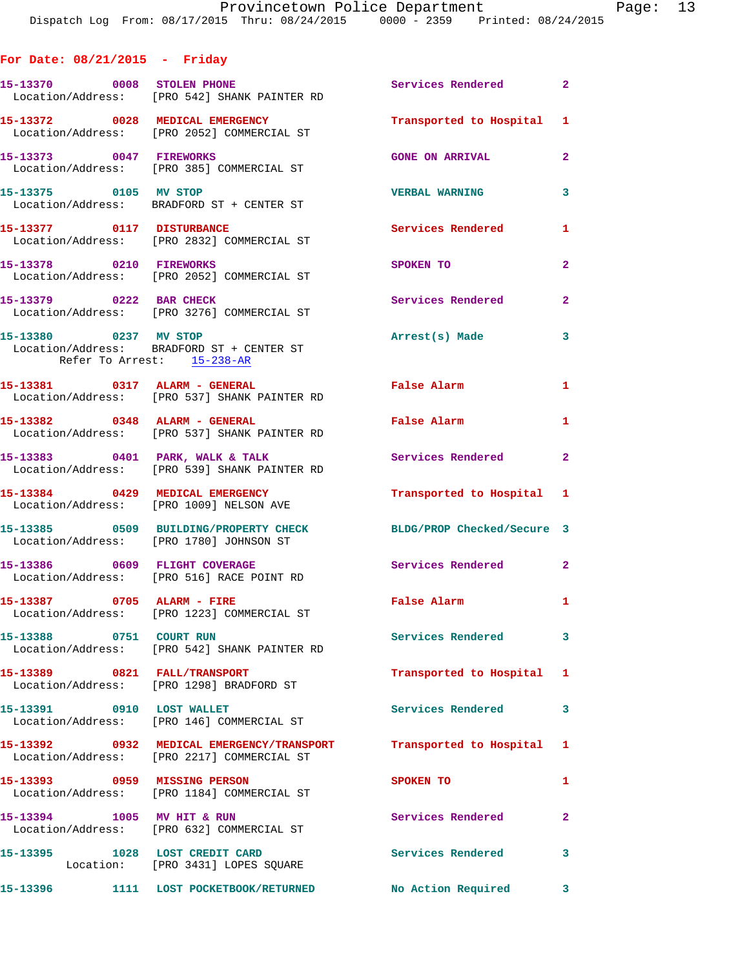## **For Date: 08/21/2015 - Friday**

| 15-13370 0008 STOLEN PHONE                          | Location/Address: [PRO 542] SHANK PAINTER RD                                            | Services Rendered 2        |                |
|-----------------------------------------------------|-----------------------------------------------------------------------------------------|----------------------------|----------------|
|                                                     | 15-13372 0028 MEDICAL EMERGENCY<br>Location/Address: [PRO 2052] COMMERCIAL ST           | Transported to Hospital 1  |                |
| 15-13373 0047 FIREWORKS                             | Location/Address: [PRO 385] COMMERCIAL ST                                               | <b>GONE ON ARRIVAL</b>     | $\overline{2}$ |
| 15-13375 0105 MV STOP                               | Location/Address: BRADFORD ST + CENTER ST                                               | <b>VERBAL WARNING</b>      | 3              |
| 15-13377 0117 DISTURBANCE                           | Location/Address: [PRO 2832] COMMERCIAL ST                                              | <b>Services Rendered</b>   | $\mathbf{1}$   |
| 15-13378 0210 FIREWORKS                             | Location/Address: [PRO 2052] COMMERCIAL ST                                              | SPOKEN TO                  | $\overline{2}$ |
| 15-13379 0222 BAR CHECK                             | Location/Address: [PRO 3276] COMMERCIAL ST                                              | <b>Services Rendered</b>   | $\overline{2}$ |
| 15-13380 0237 MV STOP<br>Refer To Arrest: 15-238-AR | Location/Address: BRADFORD ST + CENTER ST                                               | Arrest(s) Made             | 3              |
|                                                     | 15-13381 0317 ALARM - GENERAL<br>Location/Address: [PRO 537] SHANK PAINTER RD           | False Alarm                | $\mathbf{1}$   |
|                                                     | 15-13382 0348 ALARM - GENERAL<br>Location/Address: [PRO 537] SHANK PAINTER RD           | False Alarm                | $\mathbf{1}$   |
|                                                     | 15-13383 0401 PARK, WALK & TALK<br>Location/Address: [PRO 539] SHANK PAINTER RD         | <b>Services Rendered</b> 2 |                |
|                                                     | 15-13384 0429 MEDICAL EMERGENCY<br>Location/Address: [PRO 1009] NELSON AVE              | Transported to Hospital 1  |                |
|                                                     | 15-13385 0509 BUILDING/PROPERTY CHECK<br>Location/Address: [PRO 1780] JOHNSON ST        | BLDG/PROP Checked/Secure 3 |                |
| 15-13386 0609 FLIGHT COVERAGE                       | Location/Address: [PRO 516] RACE POINT RD                                               | Services Rendered 2        |                |
|                                                     | 15-13387 0705 ALARM - FIRE<br>Location/Address: [PRO 1223] COMMERCIAL ST                | <b>False Alarm</b>         | $\mathbf{1}$   |
| 15-13388 0751 COURT RUN                             | Location/Address: [PRO 542] SHANK PAINTER RD                                            | <b>Services Rendered</b>   | 3              |
| 15-13389 0821 FALL/TRANSPORT                        | Location/Address: [PRO 1298] BRADFORD ST                                                | Transported to Hospital 1  |                |
| 15-13391 0910 LOST WALLET                           | Location/Address: [PRO 146] COMMERCIAL ST                                               | Services Rendered          | 3              |
|                                                     | 15-13392 0932 MEDICAL EMERGENCY/TRANSPORT<br>Location/Address: [PRO 2217] COMMERCIAL ST | Transported to Hospital 1  |                |
| 15-13393 0959 MISSING PERSON                        | Location/Address: [PRO 1184] COMMERCIAL ST                                              | SPOKEN TO                  | $\mathbf{1}$   |
| 15-13394 1005 MV HIT & RUN                          | Location/Address: [PRO 632] COMMERCIAL ST                                               | Services Rendered          | $\overline{2}$ |
| 15-13395 1028 LOST CREDIT CARD                      | Location: [PRO 3431] LOPES SQUARE                                                       | Services Rendered          | 3              |
|                                                     | 15-13396 1111 LOST POCKETBOOK/RETURNED                                                  | No Action Required         | 3              |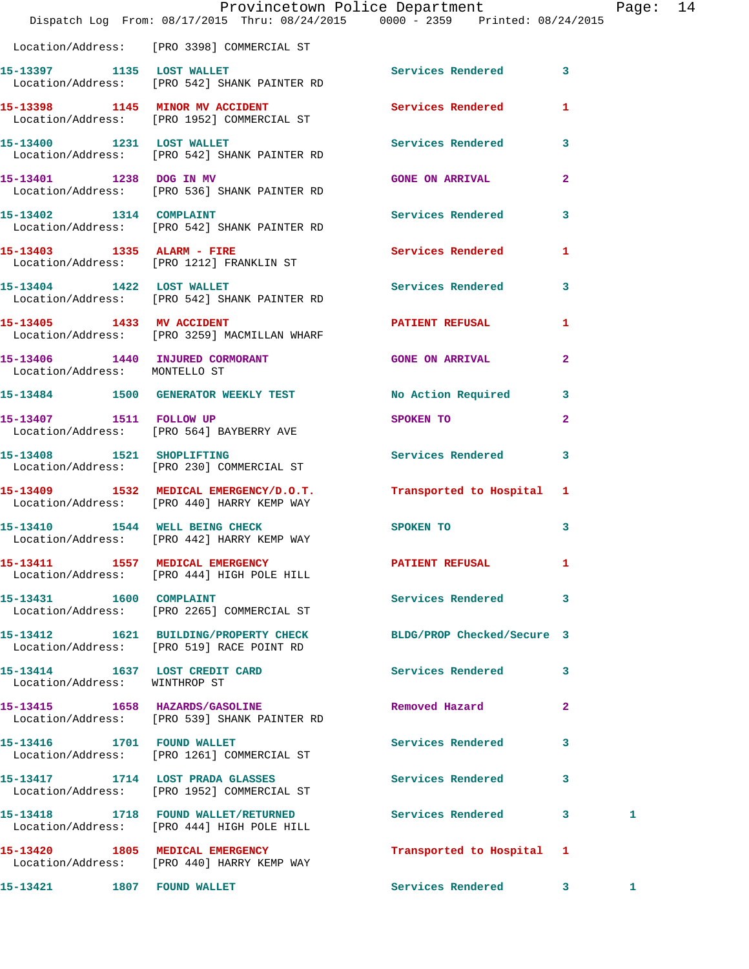|                               | Provincetown Police Department The Rage: 14<br>Dispatch Log From: 08/17/2015 Thru: 08/24/2015 0000 - 2359 Printed: 08/24/2015 |                           |                |   |  |
|-------------------------------|-------------------------------------------------------------------------------------------------------------------------------|---------------------------|----------------|---|--|
|                               | Location/Address: [PRO 3398] COMMERCIAL ST                                                                                    |                           |                |   |  |
|                               | 15-13397 1135 LOST WALLET<br>Location/Address: [PRO 542] SHANK PAINTER RD                                                     | Services Rendered 3       |                |   |  |
|                               | 15-13398 1145 MINOR MV ACCIDENT Services Rendered 1<br>Location/Address: [PRO 1952] COMMERCIAL ST                             |                           |                |   |  |
|                               | 15-13400 1231 LOST WALLET<br>Location/Address: [PRO 542] SHANK PAINTER RD                                                     | Services Rendered 3       |                |   |  |
| 15-13401 1238 DOG IN MV       | Location/Address: [PRO 536] SHANK PAINTER RD                                                                                  | <b>GONE ON ARRIVAL</b>    | $\mathbf{2}$   |   |  |
|                               | 15-13402 1314 COMPLAINT<br>Location/Address: [PRO 542] SHANK PAINTER RD                                                       | Services Rendered 3       |                |   |  |
|                               | 15-13403 1335 ALARM - FIRE<br>Location/Address: [PRO 1212] FRANKLIN ST                                                        | Services Rendered         | $\mathbf{1}$   |   |  |
|                               | 15-13404 1422 LOST WALLET<br>Location/Address: [PRO 542] SHANK PAINTER RD                                                     | Services Rendered 3       |                |   |  |
|                               | 15-13405 1433 MV ACCIDENT<br>Location/Address: [PRO 3259] MACMILLAN WHARF                                                     | PATIENT REFUSAL           | 1              |   |  |
| Location/Address: MONTELLO ST | 15-13406 1440 INJURED CORMORANT GONE ON ARRIVAL                                                                               |                           | $\overline{2}$ |   |  |
|                               | 15-13484 1500 GENERATOR WEEKLY TEST                                                                                           | No Action Required 3      |                |   |  |
|                               | 15-13407 1511 FOLLOW UP<br>Location/Address: [PRO 564] BAYBERRY AVE                                                           | SPOKEN TO                 | $\mathbf{2}$   |   |  |
|                               | 15-13408 1521 SHOPLIFTING<br>Location/Address: [PRO 230] COMMERCIAL ST                                                        | Services Rendered 3       |                |   |  |
|                               | 15-13409 1532 MEDICAL EMERGENCY/D.O.T. Transported to Hospital 1<br>Location/Address: [PRO 440] HARRY KEMP WAY                |                           |                |   |  |
|                               | 15-13410 1544 WELL BEING CHECK<br>Location/Address: [PRO 442] HARRY KEMP WAY                                                  | SPOKEN TO                 | 3              |   |  |
|                               | 15-13411 1557 MEDICAL EMERGENCY<br>Location/Address: [PRO 444] HIGH POLE HILL                                                 | PATIENT REFUSAL           | -1             |   |  |
| 15-13431 1600 COMPLAINT       | Location/Address: [PRO 2265] COMMERCIAL ST                                                                                    | Services Rendered 3       |                |   |  |
|                               | 15-13412 1621 BUILDING/PROPERTY CHECK BLDG/PROP Checked/Secure 3<br>Location/Address: [PRO 519] RACE POINT RD                 |                           |                |   |  |
| Location/Address: WINTHROP ST | 15-13414 1637 LOST CREDIT CARD                                                                                                | Services Rendered 3       |                |   |  |
|                               | 15-13415 1658 HAZARDS/GASOLINE<br>Location/Address: [PRO 539] SHANK PAINTER RD                                                | Removed Hazard            | $\mathbf{2}$   |   |  |
|                               | 15-13416 1701 FOUND WALLET<br>Location/Address: [PRO 1261] COMMERCIAL ST                                                      | Services Rendered         | 3              |   |  |
|                               | 15-13417 1714 LOST PRADA GLASSES<br>Location/Address: [PRO 1952] COMMERCIAL ST                                                | Services Rendered 3       |                |   |  |
|                               | 15-13418 1718 FOUND WALLET/RETURNED Services Rendered 3<br>Location/Address: [PRO 444] HIGH POLE HILL                         |                           |                | 1 |  |
|                               | 15-13420 1805 MEDICAL EMERGENCY<br>Location/Address: [PRO 440] HARRY KEMP WAY                                                 | Transported to Hospital 1 |                |   |  |
|                               | 15-13421 1807 FOUND WALLET                                                                                                    | Services Rendered 3       |                | 1 |  |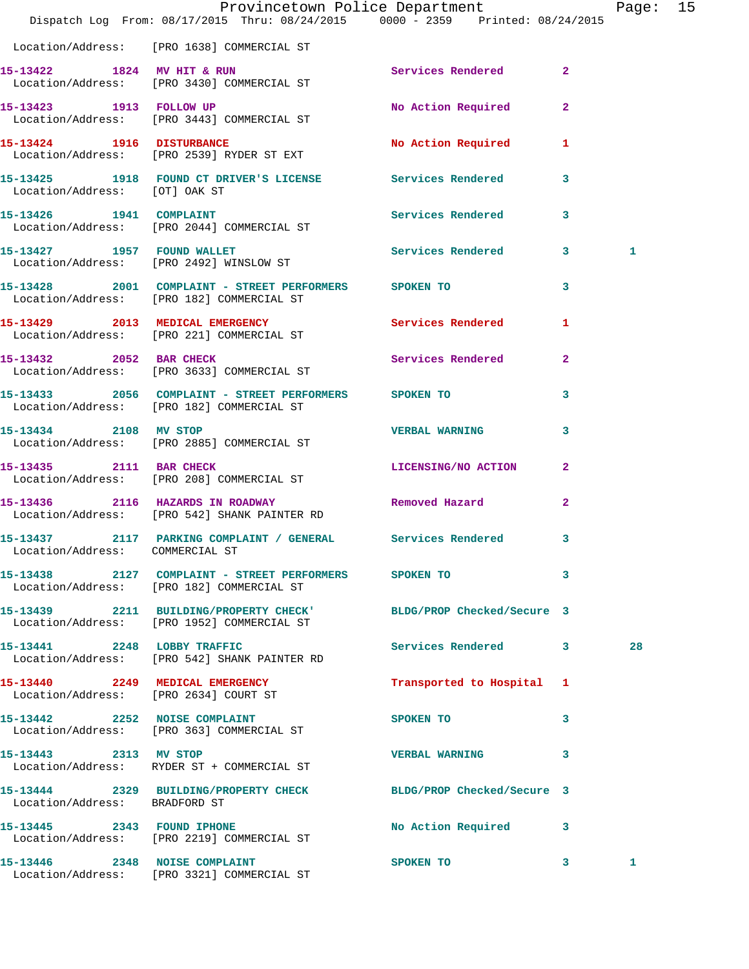|                                 | Dispatch Log From: 08/17/2015 Thru: 08/24/2015 0000 - 2359 Printed: 08/24/2015                       | Provincetown Police Department |              | Page: 15 |  |
|---------------------------------|------------------------------------------------------------------------------------------------------|--------------------------------|--------------|----------|--|
|                                 | Location/Address: [PRO 1638] COMMERCIAL ST                                                           |                                |              |          |  |
|                                 | 15-13422 1824 MV HIT & RUN<br>Location/Address: [PRO 3430] COMMERCIAL ST                             | Services Rendered 2            |              |          |  |
|                                 | 15-13423 1913 FOLLOW UP<br>Location/Address: [PRO 3443] COMMERCIAL ST                                | No Action Required 2           |              |          |  |
|                                 | 15-13424 1916 DISTURBANCE<br>Location/Address: [PRO 2539] RYDER ST EXT                               | No Action Required 1           |              |          |  |
| Location/Address: [OT] OAK ST   | 15-13425 1918 FOUND CT DRIVER'S LICENSE Services Rendered                                            |                                | $\mathbf{3}$ |          |  |
| 15-13426 1941 COMPLAINT         | Location/Address: [PRO 2044] COMMERCIAL ST                                                           | Services Rendered 3            |              |          |  |
|                                 | 15-13427 1957 FOUND WALLET<br>Location/Address: [PRO 2492] WINSLOW ST                                | Services Rendered 3            |              | 1        |  |
|                                 | 15-13428 2001 COMPLAINT - STREET PERFORMERS SPOKEN TO<br>Location/Address: [PRO 182] COMMERCIAL ST   |                                | 3            |          |  |
|                                 | 15-13429 2013 MEDICAL EMERGENCY<br>Location/Address: [PRO 221] COMMERCIAL ST                         | <b>Services Rendered</b>       | $\mathbf{1}$ |          |  |
|                                 | 15-13432 2052 BAR CHECK<br>Location/Address: [PRO 3633] COMMERCIAL ST                                | Services Rendered              | $\mathbf{2}$ |          |  |
|                                 | 15-13433 2056 COMPLAINT - STREET PERFORMERS SPOKEN TO<br>Location/Address: [PRO 182] COMMERCIAL ST   |                                | 3            |          |  |
| 15-13434 2108 MV STOP           | Location/Address: [PRO 2885] COMMERCIAL ST                                                           | <b>VERBAL WARNING</b>          | 3            |          |  |
|                                 | 15-13435 2111 BAR CHECK<br>Location/Address: [PRO 208] COMMERCIAL ST                                 | LICENSING/NO ACTION 2          |              |          |  |
|                                 | 15-13436 2116 HAZARDS IN ROADWAY<br>Location/Address: [PRO 542] SHANK PAINTER RD                     | Removed Hazard                 | $\mathbf{2}$ |          |  |
| Location/Address: COMMERCIAL ST | 15-13437 2117 PARKING COMPLAINT / GENERAL Services Rendered 3                                        |                                |              |          |  |
|                                 | 15-13438 2127 COMPLAINT - STREET PERFORMERS SPOKEN TO 3<br>Location/Address: [PRO 182] COMMERCIAL ST |                                |              |          |  |
|                                 | 15-13439 2211 BUILDING/PROPERTY CHECK'<br>Location/Address: [PRO 1952] COMMERCIAL ST                 | BLDG/PROP Checked/Secure 3     |              |          |  |
| 15-13441 2248 LOBBY TRAFFIC     | Location/Address: [PRO 542] SHANK PAINTER RD                                                         | Services Rendered 3            |              | 28       |  |
|                                 | 15-13440 2249 MEDICAL EMERGENCY<br>Location/Address: [PRO 2634] COURT ST                             | Transported to Hospital 1      |              |          |  |
|                                 | 15-13442 2252 NOISE COMPLAINT<br>Location/Address: [PRO 363] COMMERCIAL ST                           | SPOKEN TO                      | 3            |          |  |
| 15-13443 2313 MV STOP           | Location/Address: RYDER ST + COMMERCIAL ST                                                           | <b>VERBAL WARNING</b>          | $\mathbf{3}$ |          |  |
| Location/Address: BRADFORD ST   | 15-13444 2329 BUILDING/PROPERTY CHECK BLDG/PROP Checked/Secure 3                                     |                                |              |          |  |
|                                 | 15-13445 2343 FOUND IPHONE<br>Location/Address: [PRO 2219] COMMERCIAL ST                             | No Action Required 3           |              |          |  |
|                                 | 15-13446 2348 NOISE COMPLAINT<br>Location/Address: [PRO 3321] COMMERCIAL ST                          | SPOKEN TO                      | 3            | 1        |  |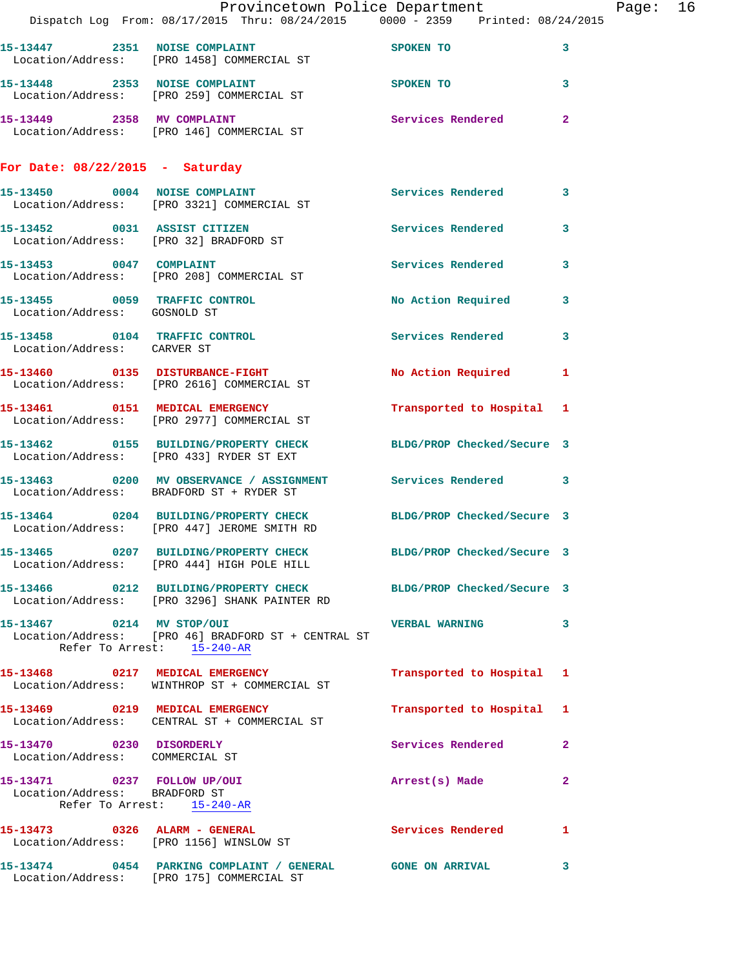|                                                              | Dispatch Log From: 08/17/2015 Thru: 08/24/2015 0000 - 2359 Printed: 08/24/2015                                    | Provincetown Police Department |                         | Page: 16 |  |
|--------------------------------------------------------------|-------------------------------------------------------------------------------------------------------------------|--------------------------------|-------------------------|----------|--|
|                                                              | 15-13447 2351 NOISE COMPLAINT SPOKEN TO<br>Location/Address: [PRO 1458] COMMERCIAL ST                             |                                | 3                       |          |  |
|                                                              | 15-13448 2353 NOISE COMPLAINT<br>Location/Address: [PRO 259] COMMERCIAL ST                                        | <b>SPOKEN TO</b>               | $\mathbf{3}$            |          |  |
|                                                              | 15-13449 2358 MV COMPLAINT<br>Location/Address: [PRO 146] COMMERCIAL ST                                           | Services Rendered              | $\mathbf{2}$            |          |  |
| For Date: $08/22/2015$ - Saturday                            |                                                                                                                   |                                |                         |          |  |
|                                                              | 15-13450 0004 NOISE COMPLAINT<br>Location/Address: [PRO 3321] COMMERCIAL ST                                       | Services Rendered 3            |                         |          |  |
|                                                              | 15-13452 0031 ASSIST CITIZEN<br>Location/Address: [PRO 32] BRADFORD ST                                            | Services Rendered              | 3                       |          |  |
|                                                              | 15-13453 0047 COMPLAINT<br>Location/Address: [PRO 208] COMMERCIAL ST                                              | Services Rendered              | 3                       |          |  |
| Location/Address: GOSNOLD ST                                 | 15-13455 0059 TRAFFIC CONTROL                                                                                     | No Action Required             | $\overline{\mathbf{3}}$ |          |  |
| Location/Address: CARVER ST                                  | 15-13458 0104 TRAFFIC CONTROL                                                                                     | Services Rendered 3            |                         |          |  |
|                                                              | 15-13460 0135 DISTURBANCE-FIGHT<br>Location/Address: [PRO 2616] COMMERCIAL ST                                     | No Action Required 1           |                         |          |  |
|                                                              | 15-13461 0151 MEDICAL EMERGENCY<br>Location/Address: [PRO 2977] COMMERCIAL ST                                     | Transported to Hospital 1      |                         |          |  |
|                                                              | 15-13462 0155 BUILDING/PROPERTY CHECK BLDG/PROP Checked/Secure 3<br>Location/Address: [PRO 433] RYDER ST EXT      |                                |                         |          |  |
|                                                              | 15-13463 0200 MV OBSERVANCE / ASSIGNMENT Services Rendered 3<br>Location/Address: BRADFORD ST + RYDER ST          |                                |                         |          |  |
|                                                              | 15-13464 0204 BUILDING/PROPERTY CHECK BLDG/PROP Checked/Secure 3<br>Location/Address: [PRO 447] JEROME SMITH RD   |                                |                         |          |  |
|                                                              | 15-13465 0207 BUILDING/PROPERTY CHECK<br>Location/Address: [PRO 444] HIGH POLE HILL                               | BLDG/PROP Checked/Secure 3     |                         |          |  |
|                                                              | 15-13466 0212 BUILDING/PROPERTY CHECK BLDG/PROP Checked/Secure 3<br>Location/Address: [PRO 3296] SHANK PAINTER RD |                                |                         |          |  |
| 15-13467 0214 MV STOP/OUI                                    | Location/Address: [PRO 46] BRADFORD ST + CENTRAL ST<br>Refer To Arrest: 15-240-AR                                 | VERBAL WARNING 3               |                         |          |  |
|                                                              | 15-13468 0217 MEDICAL EMERGENCY<br>Location/Address: WINTHROP ST + COMMERCIAL ST                                  | Transported to Hospital 1      |                         |          |  |
|                                                              | 15-13469 0219 MEDICAL EMERGENCY<br>Location/Address: CENTRAL ST + COMMERCIAL ST                                   | Transported to Hospital 1      |                         |          |  |
| 15-13470 0230 DISORDERLY<br>Location/Address: COMMERCIAL ST  |                                                                                                                   | Services Rendered              | $\mathbf{2}$            |          |  |
| 15-13471 0237 FOLLOW UP/OUI<br>Location/Address: BRADFORD ST | Refer To Arrest: 15-240-AR                                                                                        | Arrest(s) Made                 | $\mathbf{2}$            |          |  |
|                                                              | 15-13473 0326 ALARM - GENERAL<br>Location/Address: [PRO 1156] WINSLOW ST                                          | Services Rendered 1            |                         |          |  |
|                                                              | 15-13474 0454 PARKING COMPLAINT / GENERAL GONE ON ARRIVAL<br>Location/Address: [PRO 175] COMMERCIAL ST            |                                | 3                       |          |  |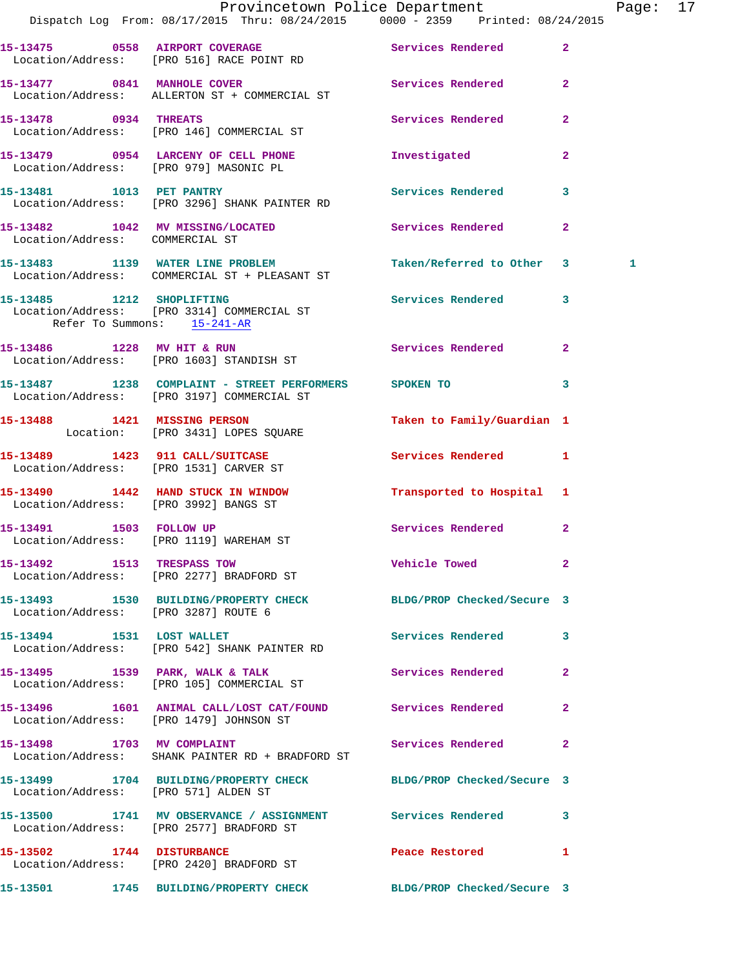|                                       | Provincetown Police Department Fage: 17<br>Dispatch Log From: 08/17/2015 Thru: 08/24/2015 0000 - 2359 Printed: 08/24/2015 |                                       |              |  |
|---------------------------------------|---------------------------------------------------------------------------------------------------------------------------|---------------------------------------|--------------|--|
|                                       | 15-13475 0558 AIRPORT COVERAGE Services Rendered<br>Location/Address: [PRO 516] RACE POINT RD                             |                                       | $\mathbf{2}$ |  |
|                                       | 15-13477 0841 MANHOLE COVER Services Rendered<br>Location/Address: ALLERTON ST + COMMERCIAL ST                            |                                       | $\mathbf{2}$ |  |
|                                       | 15-13478 0934 THREATS<br>Location/Address: [PRO 146] COMMERCIAL ST                                                        | Services Rendered                     | $\mathbf{2}$ |  |
|                                       | 15-13479 0954 LARCENY OF CELL PHONE Threstigated<br>Location/Address: [PRO 979] MASONIC PL                                |                                       | $\mathbf{2}$ |  |
|                                       | 15-13481 1013 PET PANTRY<br>Location/Address: [PRO 3296] SHANK PAINTER RD                                                 | Services Rendered                     | 3            |  |
| Location/Address: COMMERCIAL ST       | 15-13482 1042 MV MISSING/LOCATED Services Rendered                                                                        |                                       | $\mathbf{2}$ |  |
|                                       | 15-13483 1139 WATER LINE PROBLEM<br>Location/Address: COMMERCIAL ST + PLEASANT ST                                         | Taken/Referred to Other 3 1           |              |  |
| Refer To Summons: 15-241-AR           | 15-13485 1212 SHOPLIFTING Services Rendered<br>Location/Address: [PRO 3314] COMMERCIAL ST                                 |                                       | 3            |  |
|                                       | 15-13486 1228 MV HIT & RUN<br>Location/Address: [PRO 1603] STANDISH ST                                                    | Services Rendered 2                   |              |  |
|                                       | 15-13487 1238 COMPLAINT - STREET PERFORMERS SPOKEN TO<br>Location/Address: [PRO 3197] COMMERCIAL ST                       |                                       | 3            |  |
|                                       | 15-13488 1421 MISSING PERSON<br>Location: [PRO 3431] LOPES SQUARE                                                         | Taken to Family/Guardian 1            |              |  |
|                                       | 15-13489   1423   911 CALL/SUITCASE   Services Rendered   1<br>Location/Address: [PRO 1531] CARVER ST                     |                                       |              |  |
| Location/Address: [PRO 3992] BANGS ST | 15-13490 1442 HAND STUCK IN WINDOW Transported to Hospital 1                                                              |                                       |              |  |
|                                       | 15-13491 1503 FOLLOW UP<br>Location/Address: [PRO 1119] WAREHAM ST                                                        | Services Rendered                     | $\mathbf{2}$ |  |
|                                       | 15-13492 1513 TRESPASS TOW<br>Location/Address: [PRO 2277] BRADFORD ST                                                    | Vehicle Towed                         | $\mathbf{2}$ |  |
| Location/Address: [PRO 3287] ROUTE 6  | 15-13493 1530 BUILDING/PROPERTY CHECK BLDG/PROP Checked/Secure 3                                                          |                                       |              |  |
| 15-13494 1531 LOST WALLET             | Location/Address: [PRO 542] SHANK PAINTER RD                                                                              | Services Rendered 3                   |              |  |
|                                       | 15-13495 1539 PARK, WALK & TALK<br>Location/Address: [PRO 105] COMMERCIAL ST                                              | <b>Services Rendered</b>              | $\mathbf{2}$ |  |
|                                       | 15-13496 1601 ANIMAL CALL/LOST CAT/FOUND Services Rendered<br>Location/Address: [PRO 1479] JOHNSON ST                     |                                       | $\mathbf{2}$ |  |
|                                       | 15-13498 1703 MV COMPLAINT<br>Location/Address: SHANK PAINTER RD + BRADFORD ST                                            | Services Rendered                     | 2            |  |
| Location/Address: [PRO 571] ALDEN ST  | 15-13499 1704 BUILDING/PROPERTY CHECK BLDG/PROP Checked/Secure 3                                                          |                                       |              |  |
|                                       | 15-13500 1741 MV OBSERVANCE / ASSIGNMENT Services Rendered 3<br>Location/Address: [PRO 2577] BRADFORD ST                  |                                       |              |  |
| 15-13502 1744 DISTURBANCE             | Location/Address: [PRO 2420] BRADFORD ST                                                                                  | Peace Restored and the Peace Restored | $\mathbf{1}$ |  |
|                                       | 15-13501 1745 BUILDING/PROPERTY CHECK BLDG/PROP Checked/Secure 3                                                          |                                       |              |  |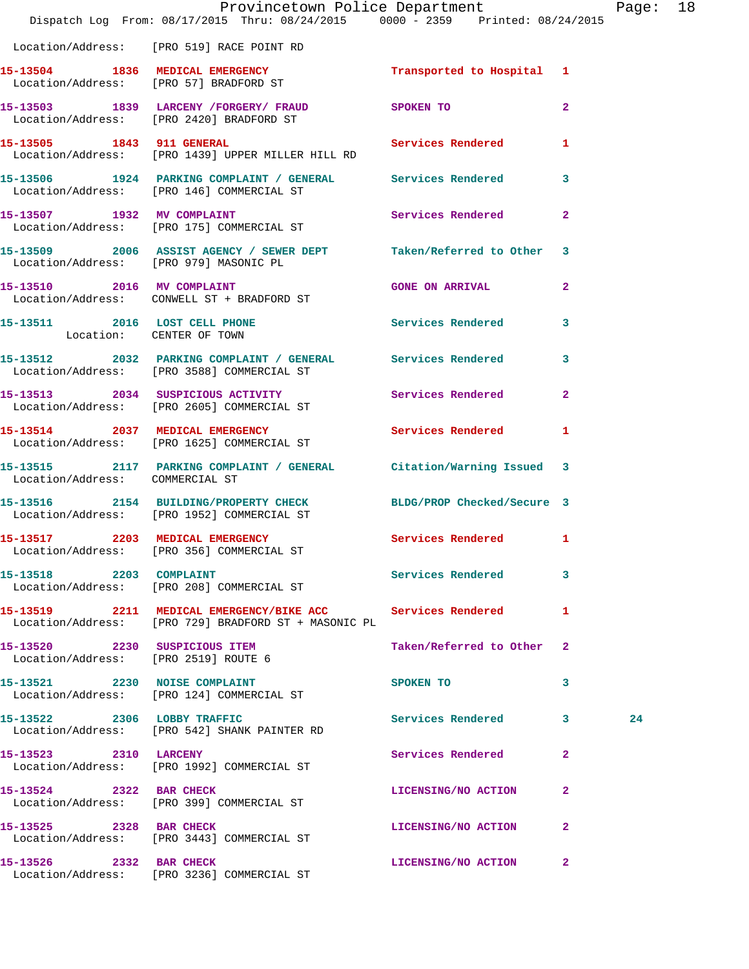|                                 | Provincetown Police Department The Rage: 18<br>Dispatch Log From: 08/17/2015 Thru: 08/24/2015 0000 - 2359 Printed: 08/24/2015 |                           |              |    |  |
|---------------------------------|-------------------------------------------------------------------------------------------------------------------------------|---------------------------|--------------|----|--|
|                                 | Location/Address: [PRO 519] RACE POINT RD                                                                                     |                           |              |    |  |
|                                 | 15-13504 1836 MEDICAL EMERGENCY 1 Transported to Hospital 1<br>Location/Address: [PRO 57] BRADFORD ST                         |                           |              |    |  |
|                                 | 15-13503 1839 LARCENY /FORGERY / FRAUD SPOKEN TO 2<br>Location/Address: [PRO 2420] BRADFORD ST                                |                           |              |    |  |
|                                 | 15-13505 1843 911 GENERAL Services Rendered 1<br>Location/Address: [PRO 1439] UPPER MILLER HILL RD                            |                           |              |    |  |
|                                 | 15-13506 1924 PARKING COMPLAINT / GENERAL Services Rendered 3<br>Location/Address: [PRO 146] COMMERCIAL ST                    |                           |              |    |  |
|                                 | 15-13507 1932 MV COMPLAINT<br>Location/Address: [PRO 175] COMMERCIAL ST                                                       | Services Rendered         | $\mathbf{2}$ |    |  |
|                                 | 15-13509 2006 ASSIST AGENCY / SEWER DEPT Taken/Referred to Other 3<br>Location/Address: [PRO 979] MASONIC PL                  |                           |              |    |  |
|                                 | 15-13510 2016 MV COMPLAINT<br>Location/Address: CONWELL ST + BRADFORD ST                                                      | GONE ON ARRIVAL 2         |              |    |  |
| Location: CENTER OF TOWN        | 15-13511 2016 LOST CELL PHONE 3 Services Rendered 3                                                                           |                           |              |    |  |
|                                 | 15-13512 2032 PARKING COMPLAINT / GENERAL Services Rendered 3<br>Location/Address: [PRO 3588] COMMERCIAL ST                   |                           |              |    |  |
|                                 | 15-13513 2034 SUSPICIOUS ACTIVITY Services Rendered 2<br>Location/Address: [PRO 2605] COMMERCIAL ST                           |                           |              |    |  |
|                                 | 15-13514 2037 MEDICAL EMERGENCY Services Rendered 1<br>Location/Address: [PRO 1625] COMMERCIAL ST                             |                           |              |    |  |
| Location/Address: COMMERCIAL ST | 15-13515 2117 PARKING COMPLAINT / GENERAL Citation/Warning Issued 3                                                           |                           |              |    |  |
|                                 | 15-13516 2154 BUILDING/PROPERTY CHECK BLDG/PROP Checked/Secure 3<br>Location/Address: [PRO 1952] COMMERCIAL ST                |                           |              |    |  |
|                                 | 15-13517 2203 MEDICAL EMERGENCY<br>Location/Address: [PRO 356] COMMERCIAL ST                                                  | Services Rendered 1       |              |    |  |
| 15-13518 2203 COMPLAINT         | Location/Address: [PRO 208] COMMERCIAL ST                                                                                     | Services Rendered         | 3            |    |  |
|                                 | 15-13519 2211 MEDICAL EMERGENCY/BIKE ACC Services Rendered<br>Location/Address: [PRO 729] BRADFORD ST + MASONIC PL            |                           | 1            |    |  |
| 15-13520 2230 SUSPICIOUS ITEM   | Location/Address: [PRO 2519] ROUTE 6                                                                                          | Taken/Referred to Other 2 |              |    |  |
|                                 | 15-13521 2230 NOISE COMPLAINT<br>Location/Address: [PRO 124] COMMERCIAL ST                                                    | SPOKEN TO                 | 3            |    |  |
|                                 | 15-13522 2306 LOBBY TRAFFIC<br>Location/Address: [PRO 542] SHANK PAINTER RD                                                   | Services Rendered 3       |              | 24 |  |
|                                 | 15-13523 2310 LARCENY<br>Location/Address: [PRO 1992] COMMERCIAL ST                                                           | Services Rendered         | $\mathbf{2}$ |    |  |
| 15-13524 2322 BAR CHECK         | Location/Address: [PRO 399] COMMERCIAL ST                                                                                     | LICENSING/NO ACTION 2     |              |    |  |
|                                 | 15-13525 2328 BAR CHECK<br>Location/Address: [PRO 3443] COMMERCIAL ST                                                         | LICENSING/NO ACTION       | $\mathbf{2}$ |    |  |
| 15-13526 2332 BAR CHECK         |                                                                                                                               | LICENSING/NO ACTION 2     |              |    |  |

Location/Address: [PRO 3236] COMMERCIAL ST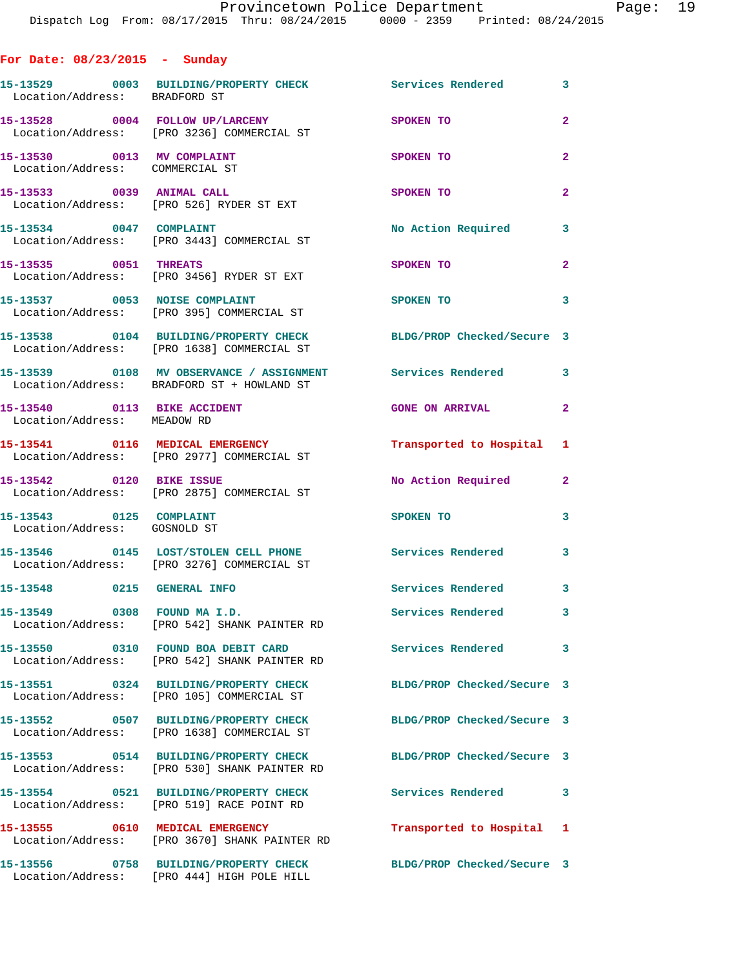| For Date: $08/23/2015$ - Sunday                               |                                                                                                                |                            |                         |
|---------------------------------------------------------------|----------------------------------------------------------------------------------------------------------------|----------------------------|-------------------------|
| Location/Address: BRADFORD ST                                 | 15-13529 0003 BUILDING/PROPERTY CHECK Services Rendered 3                                                      |                            |                         |
|                                                               | 15-13528 0004 FOLLOW UP/LARCENY<br>Location/Address: [PRO 3236] COMMERCIAL ST                                  | SPOKEN TO                  | $\overline{2}$          |
| 15-13530 0013 MV COMPLAINT<br>Location/Address: COMMERCIAL ST |                                                                                                                | SPOKEN TO                  | $\overline{2}$          |
| 15-13533 0039 ANIMAL CALL                                     | Location/Address: [PRO 526] RYDER ST EXT                                                                       | SPOKEN TO                  | $\overline{2}$          |
| 15-13534 0047 COMPLAINT                                       | Location/Address: [PRO 3443] COMMERCIAL ST                                                                     | No Action Required         | 3                       |
| 15-13535 0051 THREATS                                         | Location/Address: [PRO 3456] RYDER ST EXT                                                                      | SPOKEN TO                  | $\overline{2}$          |
| 15-13537 0053 NOISE COMPLAINT                                 | Location/Address: [PRO 395] COMMERCIAL ST                                                                      | SPOKEN TO                  | $\overline{\mathbf{3}}$ |
|                                                               | 15-13538 0104 BUILDING/PROPERTY CHECK BLDG/PROP Checked/Secure 3<br>Location/Address: [PRO 1638] COMMERCIAL ST |                            |                         |
|                                                               | 15-13539 0108 MV OBSERVANCE / ASSIGNMENT Services Rendered 3<br>Location/Address: BRADFORD ST + HOWLAND ST     |                            |                         |
| 15-13540 0113 BIKE ACCIDENT<br>Location/Address: MEADOW RD    |                                                                                                                | <b>GONE ON ARRIVAL</b>     | $\mathbf{2}$            |
|                                                               | 15-13541 0116 MEDICAL EMERGENCY<br>Location/Address: [PRO 2977] COMMERCIAL ST                                  | Transported to Hospital 1  |                         |
| 15-13542 0120 BIKE ISSUE                                      | Location/Address: [PRO 2875] COMMERCIAL ST                                                                     | No Action Required 2       |                         |
| 15-13543 0125 COMPLAINT<br>Location/Address: GOSNOLD ST       |                                                                                                                | SPOKEN TO                  | 3                       |
|                                                               | 15-13546 0145 LOST/STOLEN CELL PHONE Services Rendered<br>Location/Address: [PRO 3276] COMMERCIAL ST           |                            | $\overline{\mathbf{3}}$ |
| 15-13548 0215 GENERAL INFO                                    |                                                                                                                | Services Rendered 3        |                         |
| 15-13549 0308 FOUND MAI.D.                                    | Location/Address: [PRO 542] SHANK PAINTER RD                                                                   | Services Rendered          | 3 <sup>1</sup>          |
|                                                               | 15-13550 0310 FOUND BOA DEBIT CARD<br>Location/Address: [PRO 542] SHANK PAINTER RD                             | Services Rendered          | 3                       |
|                                                               | 15-13551 0324 BUILDING/PROPERTY CHECK<br>Location/Address: [PRO 105] COMMERCIAL ST                             | BLDG/PROP Checked/Secure 3 |                         |
|                                                               | 15-13552 0507 BUILDING/PROPERTY CHECK<br>Location/Address: [PRO 1638] COMMERCIAL ST                            | BLDG/PROP Checked/Secure 3 |                         |
|                                                               | 15-13553 0514 BUILDING/PROPERTY CHECK<br>Location/Address: [PRO 530] SHANK PAINTER RD                          | BLDG/PROP Checked/Secure 3 |                         |
|                                                               | 15-13554 0521 BUILDING/PROPERTY CHECK<br>Location/Address: [PRO 519] RACE POINT RD                             | Services Rendered 3        |                         |
|                                                               | 15-13555 0610 MEDICAL EMERGENCY<br>Location/Address: [PRO 3670] SHANK PAINTER RD                               | Transported to Hospital 1  |                         |
|                                                               | 15-13556 0758 BUILDING/PROPERTY CHECK<br>Location/Address: [PRO 444] HIGH POLE HILL                            | BLDG/PROP Checked/Secure 3 |                         |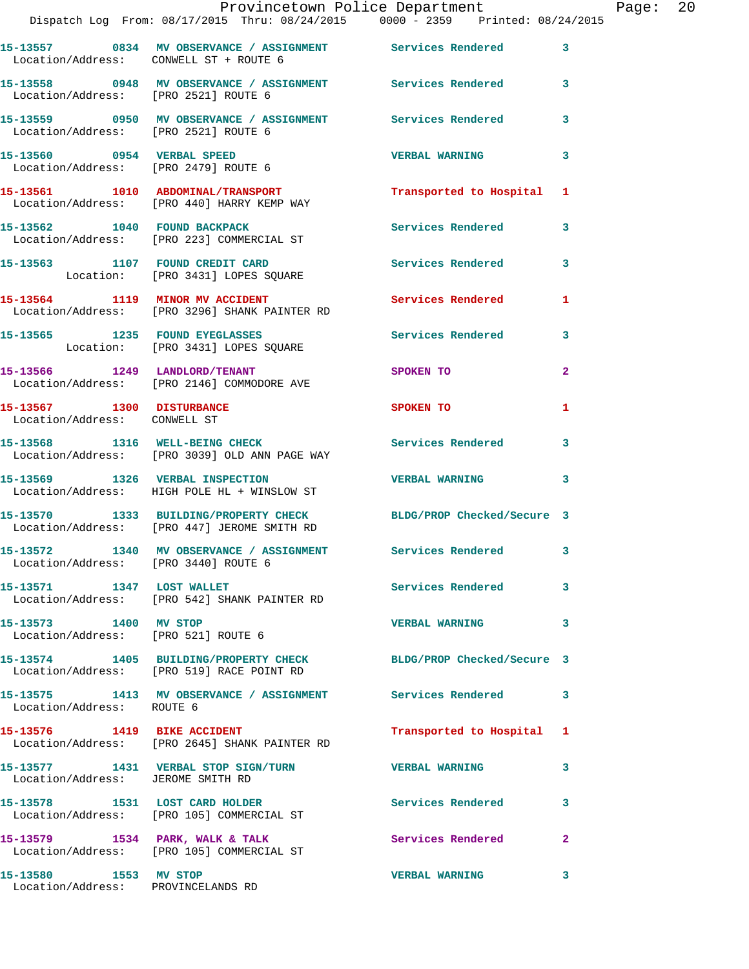|                                                             | Provincetown Police Department Fage: 20<br>Dispatch Log From: 08/17/2015 Thru: 08/24/2015   0000 - 2359   Printed: 08/24/2015 |                           |              |  |
|-------------------------------------------------------------|-------------------------------------------------------------------------------------------------------------------------------|---------------------------|--------------|--|
| Location/Address: CONWELL ST + ROUTE 6                      | 15-13557 0834 MV OBSERVANCE / ASSIGNMENT Services Rendered                                                                    |                           | $\mathbf{3}$ |  |
| Location/Address: [PRO 2521] ROUTE 6                        | 15-13558 0948 MV OBSERVANCE / ASSIGNMENT Services Rendered 3                                                                  |                           |              |  |
|                                                             | 15-13559     0950 MV OBSERVANCE / ASSIGNMENT      Services Rendered      3<br>Location/Address:   [PRO 2521] ROUTE 6          |                           |              |  |
|                                                             |                                                                                                                               | <b>VERBAL WARNING</b>     | 3            |  |
|                                                             | 15-13561 1010 ABDOMINAL/TRANSPORT Transported to Hospital 1<br>Location/Address: [PRO 440] HARRY KEMP WAY                     |                           |              |  |
|                                                             | 15-13562 1040 FOUND BACKPACK Services Rendered<br>Location/Address: [PRO 223] COMMERCIAL ST                                   |                           | 3            |  |
|                                                             | 15-13563 1107 FOUND CREDIT CARD<br>Location: [PRO 3431] LOPES SQUARE                                                          | Services Rendered 3       |              |  |
|                                                             | 15-13564 1119 MINOR MV ACCIDENT Services Rendered<br>Location/Address: [PRO 3296] SHANK PAINTER RD                            |                           | 1            |  |
|                                                             | 15-13565 1235 FOUND EYEGLASSES SQUARE Services Rendered 3<br>Location: [PRO 3431] LOPES SQUARE                                |                           |              |  |
|                                                             | 15-13566 1249 LANDLORD/TENANT SPOKEN TO<br>Location/Address: [PRO 2146] COMMODORE AVE                                         |                           | $\mathbf{2}$ |  |
| Location/Address: CONWELL ST                                | 15-13567 1300 DISTURBANCE                                                                                                     | SPOKEN TO                 | $\mathbf{1}$ |  |
|                                                             | 15-13568 1316 WELL-BEING CHECK Services Rendered<br>Location/Address: [PRO 3039] OLD ANN PAGE WAY                             |                           | 3            |  |
|                                                             | 15-13569 1326 VERBAL INSPECTION CERBAL WARNING 3<br>Location/Address: HIGH POLE HL + WINSLOW ST                               |                           |              |  |
|                                                             | 15-13570 1333 BUILDING/PROPERTY CHECK BLDG/PROP Checked/Secure 3<br>Location/Address: [PRO 447] JEROME SMITH RD               |                           |              |  |
| Location/Address: [PRO 3440] ROUTE 6                        | 15-13572 1340 MV OBSERVANCE / ASSIGNMENT Services Rendered                                                                    |                           |              |  |
|                                                             | 15-13571 1347 LOST WALLET<br>Location/Address: [PRO 542] SHANK PAINTER RD                                                     | <b>Services Rendered</b>  | 3            |  |
| 15-13573 1400 MV STOP                                       | Location/Address: [PRO 521] ROUTE 6                                                                                           | <b>VERBAL WARNING</b>     | 3            |  |
|                                                             | 15-13574 1405 BUILDING/PROPERTY CHECK BLDG/PROP Checked/Secure 3<br>Location/Address: [PRO 519] RACE POINT RD                 |                           |              |  |
| Location/Address: ROUTE 6                                   | 15-13575 1413 MV OBSERVANCE / ASSIGNMENT Services Rendered 3                                                                  |                           |              |  |
|                                                             | 15-13576 1419 BIKE ACCIDENT<br>Location/Address: [PRO 2645] SHANK PAINTER RD                                                  | Transported to Hospital 1 |              |  |
| Location/Address: JEROME SMITH RD                           | 15-13577 1431 VERBAL STOP SIGN/TURN VERBAL WARNING                                                                            |                           | 3            |  |
|                                                             | 15-13578 1531 LOST CARD HOLDER<br>Location/Address: [PRO 105] COMMERCIAL ST                                                   | Services Rendered         | 3            |  |
|                                                             | 15-13579 1534 PARK, WALK & TALK<br>Location/Address: [PRO 105] COMMERCIAL ST                                                  | Services Rendered         | $\mathbf{2}$ |  |
| 15-13580 1553 MV STOP<br>Location/Address: PROVINCELANDS RD |                                                                                                                               | <b>VERBAL WARNING</b>     | 3            |  |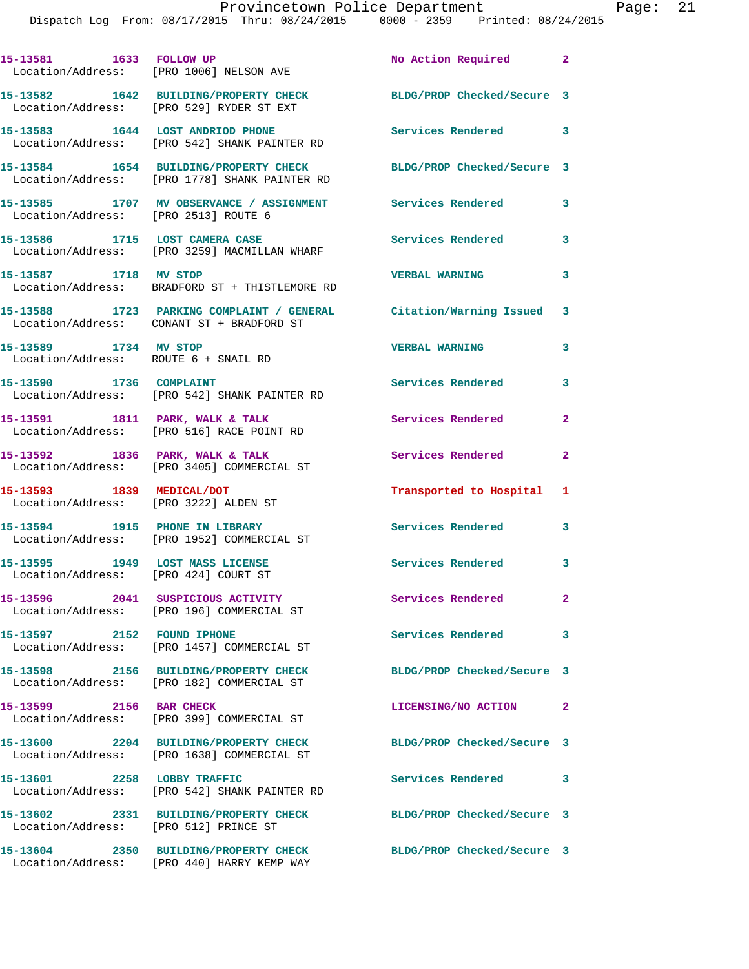|                                                                         | 15-13581 1633 FOLLOW UP<br>Location/Address: [PRO 1006] NELSON AVE                                               | No Action Required 2       |                |
|-------------------------------------------------------------------------|------------------------------------------------------------------------------------------------------------------|----------------------------|----------------|
|                                                                         | 15-13582 1642 BUILDING/PROPERTY CHECK<br>Location/Address: [PRO 529] RYDER ST EXT                                | BLDG/PROP Checked/Secure 3 |                |
|                                                                         | 15-13583 1644 LOST ANDRIOD PHONE<br>Location/Address: [PRO 542] SHANK PAINTER RD                                 | Services Rendered 3        |                |
|                                                                         | 15-13584 1654 BUILDING/PROPERTY CHECK<br>Location/Address: [PRO 1778] SHANK PAINTER RD                           | BLDG/PROP Checked/Secure 3 |                |
| Location/Address: [PRO 2513] ROUTE 6                                    | 15-13585 1707 MV OBSERVANCE / ASSIGNMENT Services Rendered                                                       |                            | $\mathbf{3}$   |
|                                                                         | 15-13586 1715 LOST CAMERA CASE<br>Location/Address: [PRO 3259] MACMILLAN WHARF                                   | <b>Services Rendered</b>   | 3              |
| 15-13587 1718 MV STOP                                                   | Location/Address: BRADFORD ST + THISTLEMORE RD                                                                   | <b>VERBAL WARNING</b>      | 3              |
|                                                                         | 15-13588 1723 PARKING COMPLAINT / GENERAL Citation/Warning Issued 3<br>Location/Address: CONANT ST + BRADFORD ST |                            |                |
| 15-13589 1734 MV STOP<br>Location/Address: ROUTE 6 + SNAIL RD           |                                                                                                                  | <b>VERBAL WARNING</b>      | 3              |
| 15-13590 1736 COMPLAINT                                                 | Location/Address: [PRO 542] SHANK PAINTER RD                                                                     | Services Rendered          | 3              |
|                                                                         | 15-13591 1811 PARK, WALK & TALK<br>Location/Address: [PRO 516] RACE POINT RD                                     | Services Rendered          | $\overline{2}$ |
| 15-13592 1836 PARK, WALK & TALK                                         | Location/Address: [PRO 3405] COMMERCIAL ST                                                                       | Services Rendered          | $\overline{2}$ |
| 15-13593 1839 MEDICAL/DOT                                               | Location/Address: [PRO 3222] ALDEN ST                                                                            | Transported to Hospital 1  |                |
| 15-13594 1915 PHONE IN LIBRARY                                          | Location/Address: [PRO 1952] COMMERCIAL ST                                                                       | Services Rendered          | 3              |
| 15-13595 1949 LOST MASS LICENSE<br>Location/Address: [PRO 424] COURT ST |                                                                                                                  | Services Rendered 3        |                |
|                                                                         | 15-13596 2041 SUSPICIOUS ACTIVITY<br>Location/Address: [PRO 196] COMMERCIAL ST                                   | Services Rendered          | $\mathbf{2}$   |
| 15-13597 2152 FOUND IPHONE                                              | Location/Address: [PRO 1457] COMMERCIAL ST                                                                       | <b>Services Rendered</b>   | 3              |
|                                                                         | 15-13598 2156 BUILDING/PROPERTY CHECK<br>Location/Address: [PRO 182] COMMERCIAL ST                               | BLDG/PROP Checked/Secure 3 |                |
| 15-13599 2156 BAR CHECK                                                 | Location/Address: [PRO 399] COMMERCIAL ST                                                                        | LICENSING/NO ACTION        | $\mathbf{2}$   |
|                                                                         | 15-13600 2204 BUILDING/PROPERTY CHECK<br>Location/Address: [PRO 1638] COMMERCIAL ST                              | BLDG/PROP Checked/Secure 3 |                |
| 15-13601 2258 LOBBY TRAFFIC                                             | Location/Address: [PRO 542] SHANK PAINTER RD                                                                     | Services Rendered          | 3              |
| Location/Address: [PRO 512] PRINCE ST                                   | 15-13602 2331 BUILDING/PROPERTY CHECK                                                                            | BLDG/PROP Checked/Secure 3 |                |
|                                                                         | 15-13604 2350 BUILDING/PROPERTY CHECK                                                                            | BLDG/PROP Checked/Secure 3 |                |

Location/Address: [PRO 440] HARRY KEMP WAY